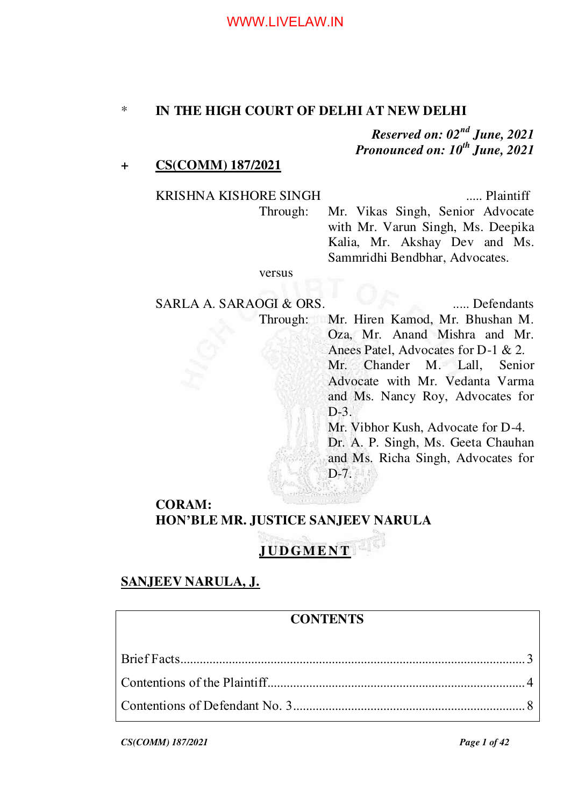#### \* **IN THE HIGH COURT OF DELHI AT NEW DELHI**

*Reserved on: 02nd June, 2021 Pronounced on: 10th June, 2021*

## **+ CS(COMM) 187/2021**

# KRISHNA KISHORE SINGH ...... Plaintiff

Through: Mr. Vikas Singh, Senior Advocate with Mr. Varun Singh, Ms. Deepika Kalia, Mr. Akshay Dev and Ms. Sammridhi Bendbhar, Advocates.

#### versus

SARLA A. SARAOGI & ORS. ...... Defendants Through: Mr. Hiren Kamod, Mr. Bhushan M. Oza, Mr. Anand Mishra and Mr. Anees Patel, Advocates for D-1 & 2. Mr. Chander M. Lall, Senior Advocate with Mr. Vedanta Varma and Ms. Nancy Roy, Advocates for D-3. Mr. Vibhor Kush, Advocate for D-4. Dr. A. P. Singh, Ms. Geeta Chauhan and Ms. Richa Singh, Advocates for D-7.

# **CORAM: HON'BLE MR. JUSTICE SANJEEV NARULA**

# **JUDGMENT**

## **SANJEEV NARULA, J.**

## **CONTENTS**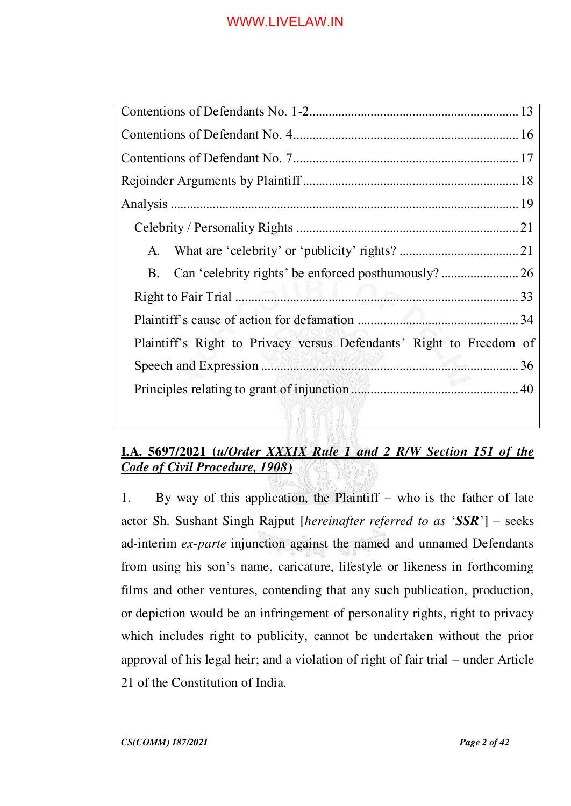| A.                                                                  |  |
|---------------------------------------------------------------------|--|
|                                                                     |  |
|                                                                     |  |
|                                                                     |  |
| Plaintiff's Right to Privacy versus Defendants' Right to Freedom of |  |
|                                                                     |  |
|                                                                     |  |
|                                                                     |  |

# **I.A. 5697/2021 (***u/Order XXXIX Rule 1 and 2 R/W Section 151 of the Code of Civil Procedure, 1908***)**

1. By way of this application, the Plaintiff – who is the father of late actor Sh. Sushant Singh Rajput [*hereinafter referred to as* '*SSR*'] – seeks ad-interim *ex-parte* injunction against the named and unnamed Defendants from using his son's name, caricature, lifestyle or likeness in forthcoming films and other ventures, contending that any such publication, production, or depiction would be an infringement of personality rights, right to privacy which includes right to publicity, cannot be undertaken without the prior approval of his legal heir; and a violation of right of fair trial – under Article 21 of the Constitution of India.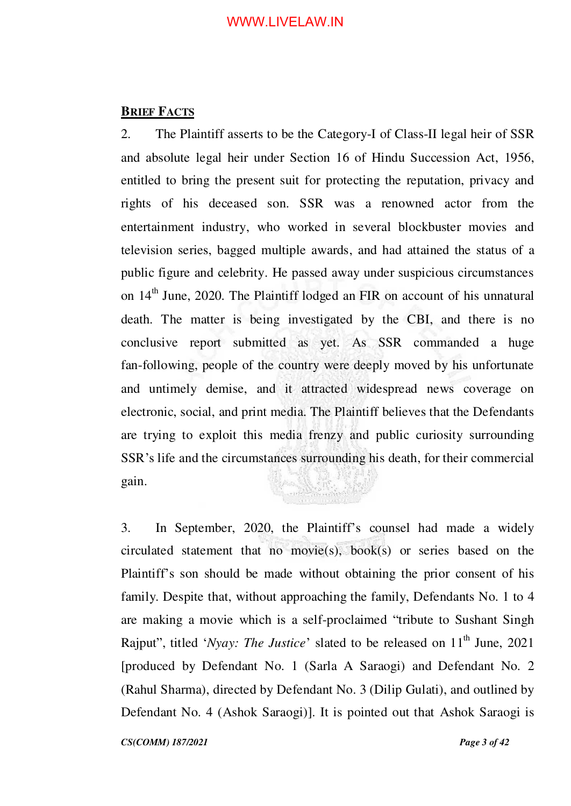## <span id="page-2-0"></span>**BRIEF FACTS**

2. The Plaintiff asserts to be the Category-I of Class-II legal heir of SSR and absolute legal heir under Section 16 of Hindu Succession Act, 1956, entitled to bring the present suit for protecting the reputation, privacy and rights of his deceased son. SSR was a renowned actor from the entertainment industry, who worked in several blockbuster movies and television series, bagged multiple awards, and had attained the status of a public figure and celebrity. He passed away under suspicious circumstances on  $14<sup>th</sup>$  June, 2020. The Plaintiff lodged an FIR on account of his unnatural death. The matter is being investigated by the CBI, and there is no conclusive report submitted as yet. As SSR commanded a huge fan-following, people of the country were deeply moved by his unfortunate and untimely demise, and it attracted widespread news coverage on electronic, social, and print media. The Plaintiff believes that the Defendants are trying to exploit this media frenzy and public curiosity surrounding SSR's life and the circumstances surrounding his death, for their commercial gain.

3. In September, 2020, the Plaintiff's counsel had made a widely circulated statement that no movie(s), book(s) or series based on the Plaintiff's son should be made without obtaining the prior consent of his family. Despite that, without approaching the family, Defendants No. 1 to 4 are making a movie which is a self-proclaimed "tribute to Sushant Singh Rajput", titled '*Nyay: The Justice*' slated to be released on 11<sup>th</sup> June, 2021 [produced by Defendant No. 1 (Sarla A Saraogi) and Defendant No. 2 (Rahul Sharma), directed by Defendant No. 3 (Dilip Gulati), and outlined by Defendant No. 4 (Ashok Saraogi)]. It is pointed out that Ashok Saraogi is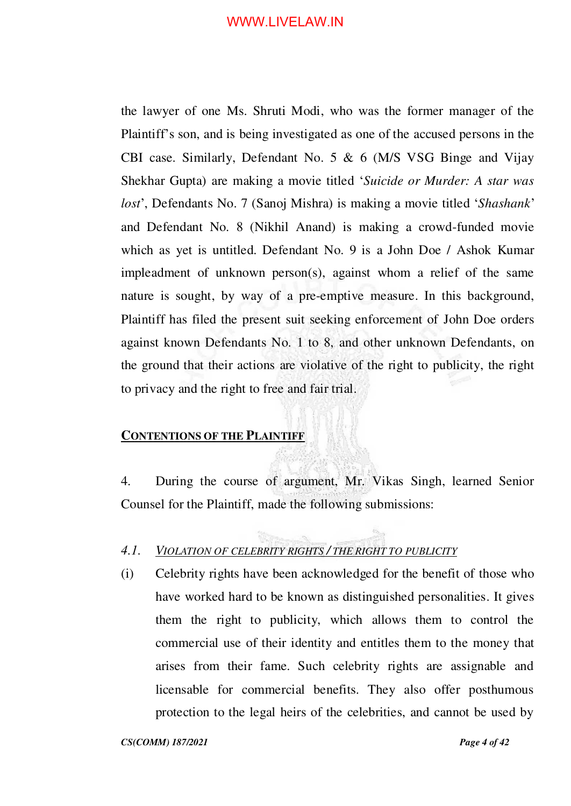the lawyer of one Ms. Shruti Modi, who was the former manager of the Plaintiff's son, and is being investigated as one of the accused persons in the CBI case. Similarly, Defendant No. 5 & 6 (M/S VSG Binge and Vijay Shekhar Gupta) are making a movie titled '*Suicide or Murder: A star was lost*', Defendants No. 7 (Sanoj Mishra) is making a movie titled '*Shashank*' and Defendant No. 8 (Nikhil Anand) is making a crowd-funded movie which as yet is untitled. Defendant No. 9 is a John Doe / Ashok Kumar impleadment of unknown person(s), against whom a relief of the same nature is sought, by way of a pre-emptive measure. In this background, Plaintiff has filed the present suit seeking enforcement of John Doe orders against known Defendants No. 1 to 8, and other unknown Defendants, on the ground that their actions are violative of the right to publicity, the right to privacy and the right to free and fair trial.

## <span id="page-3-0"></span>**CONTENTIONS OF THE PLAINTIFF**

4. During the course of argument, Mr. Vikas Singh, learned Senior Counsel for the Plaintiff, made the following submissions:

## *4.1. VIOLATION OF CELEBRITY RIGHTS / THE RIGHT TO PUBLICITY*

(i) Celebrity rights have been acknowledged for the benefit of those who have worked hard to be known as distinguished personalities. It gives them the right to publicity, which allows them to control the commercial use of their identity and entitles them to the money that arises from their fame. Such celebrity rights are assignable and licensable for commercial benefits. They also offer posthumous protection to the legal heirs of the celebrities, and cannot be used by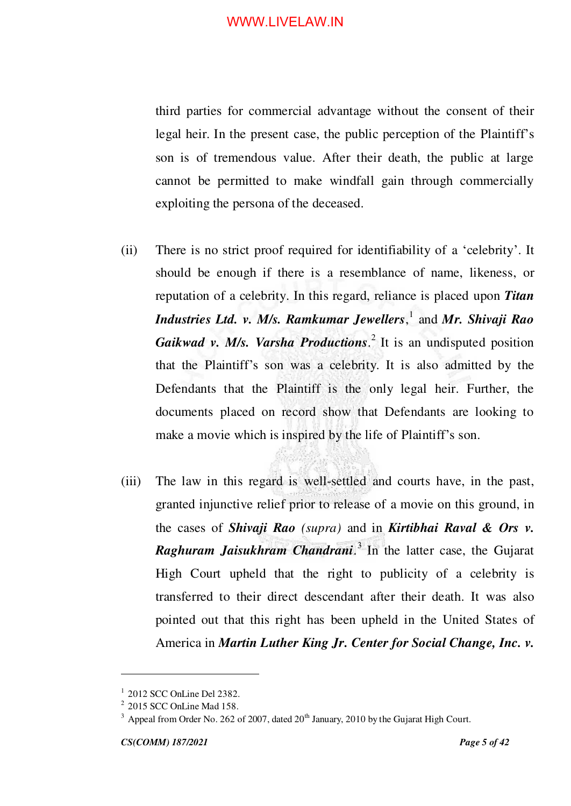third parties for commercial advantage without the consent of their legal heir. In the present case, the public perception of the Plaintiff's son is of tremendous value. After their death, the public at large cannot be permitted to make windfall gain through commercially exploiting the persona of the deceased.

- (ii) There is no strict proof required for identifiability of a 'celebrity'. It should be enough if there is a resemblance of name, likeness, or reputation of a celebrity. In this regard, reliance is placed upon *Titan Industries Ltd. v. M/s. Ramkumar Jewellers*, 1 and *Mr. Shivaji Rao*  Gaikwad v. M/s. Varsha Productions.<sup>2</sup> It is an undisputed position that the Plaintiff's son was a celebrity. It is also admitted by the Defendants that the Plaintiff is the only legal heir. Further, the documents placed on record show that Defendants are looking to make a movie which is inspired by the life of Plaintiff's son.
- (iii) The law in this regard is well-settled and courts have, in the past, granted injunctive relief prior to release of a movie on this ground, in the cases of *Shivaji Rao (supra)* and in *Kirtibhai Raval & Ors v. Raghuram Jaisukhram Chandrani*. 3 In the latter case, the Gujarat High Court upheld that the right to publicity of a celebrity is transferred to their direct descendant after their death. It was also pointed out that this right has been upheld in the United States of America in *Martin Luther King Jr. Center for Social Change, Inc. v.*

<sup>1</sup> 2012 SCC OnLine Del 2382.

<sup>2</sup> 2015 SCC OnLine Mad 158.

 $3$  Appeal from Order No. 262 of 2007, dated 20<sup>th</sup> January, 2010 by the Gujarat High Court.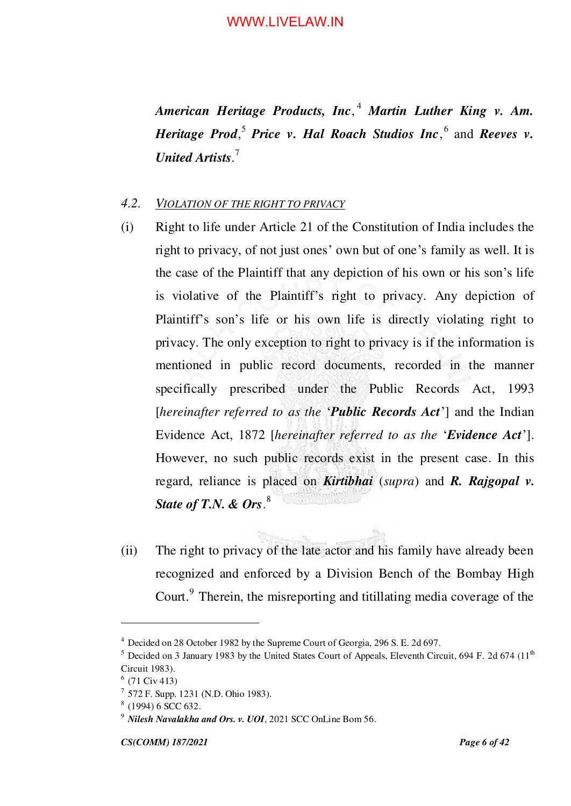*American Heritage Products, Inc*, <sup>4</sup> *Martin Luther King v. Am. Heritage Prod*,<sup>5</sup> *Price v. Hal Roach Studios Inc*,<sup>6</sup> and *Reeves v. United Artists*. 7

#### *4.2. VIOLATION OF THE RIGHT TO PRIVACY*

- (i) Right to life under Article 21 of the Constitution of India includes the right to privacy, of not just ones' own but of one's family as well. It is the case of the Plaintiff that any depiction of his own or his son's life is violative of the Plaintiff's right to privacy. Any depiction of Plaintiff's son's life or his own life is directly violating right to privacy. The only exception to right to privacy is if the information is mentioned in public record documents, recorded in the manner specifically prescribed under the Public Records Act, 1993 [*hereinafter referred to as the* '*Public Records Act*'] and the Indian Evidence Act, 1872 [*hereinafter referred to as the* '*Evidence Act*']. However, no such public records exist in the present case. In this regard, reliance is placed on *Kirtibhai* (*supra*) and *R. Rajgopal v. State of T.N. & Ors*. 8
- (ii) The right to privacy of the late actor and his family have already been recognized and enforced by a Division Bench of the Bombay High Court.<sup>9</sup> Therein, the misreporting and titillating media coverage of the

<sup>&</sup>lt;sup>4</sup> Decided on 28 October 1982 by the Supreme Court of Georgia, 296 S. E. 2d 697.

 $5$  Decided on 3 January 1983 by the United States Court of Appeals, Eleventh Circuit, 694 F. 2d 674 (11<sup>th</sup>) Circuit 1983).

 $<sup>6</sup>$  (71 Civ 413)</sup>

<sup>7</sup> 572 F. Supp. 1231 (N.D. Ohio 1983).

<sup>8</sup> (1994) 6 SCC 632.

<sup>9</sup> *Nilesh Navalakha and Ors. v. UOI*, 2021 SCC OnLine Bom 56.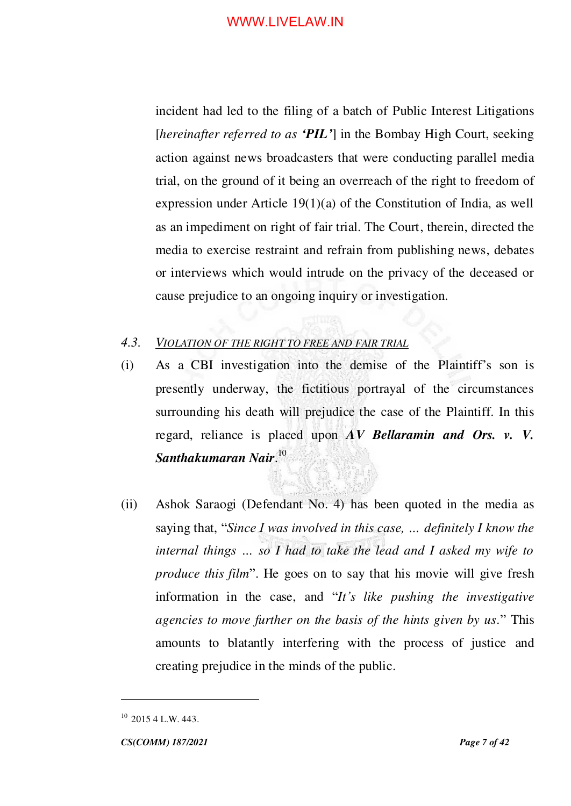incident had led to the filing of a batch of Public Interest Litigations [*hereinafter referred to as 'PIL'*] in the Bombay High Court, seeking action against news broadcasters that were conducting parallel media trial, on the ground of it being an overreach of the right to freedom of expression under Article 19(1)(a) of the Constitution of India, as well as an impediment on right of fair trial. The Court, therein, directed the media to exercise restraint and refrain from publishing news, debates or interviews which would intrude on the privacy of the deceased or cause prejudice to an ongoing inquiry or investigation.

## *4.3. VIOLATION OF THE RIGHT TO FREE AND FAIR TRIAL*

- (i) As a CBI investigation into the demise of the Plaintiff's son is presently underway, the fictitious portrayal of the circumstances surrounding his death will prejudice the case of the Plaintiff. In this regard, reliance is placed upon *AV Bellaramin and Ors. v. V. Santhakumaran Nair*. 10
- (ii) Ashok Saraogi (Defendant No. 4) has been quoted in the media as saying that, "*Since I was involved in this case, … definitely I know the internal things … so I had to take the lead and I asked my wife to produce this film*". He goes on to say that his movie will give fresh information in the case, and "*It's like pushing the investigative agencies to move further on the basis of the hints given by us.*" This amounts to blatantly interfering with the process of justice and creating prejudice in the minds of the public.

 $10$  2015 4 L.W. 443.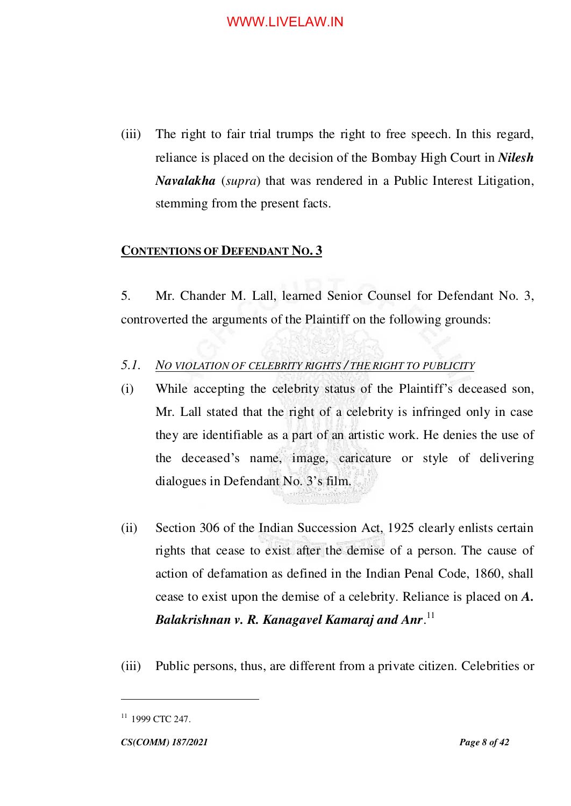(iii) The right to fair trial trumps the right to free speech. In this regard, reliance is placed on the decision of the Bombay High Court in *Nilesh Navalakha* (*supra*) that was rendered in a Public Interest Litigation, stemming from the present facts.

## <span id="page-7-0"></span>**CONTENTIONS OF DEFENDANT NO. 3**

5. Mr. Chander M. Lall, learned Senior Counsel for Defendant No. 3, controverted the arguments of the Plaintiff on the following grounds:

## *5.1. NO VIOLATION OF CELEBRITY RIGHTS / THE RIGHT TO PUBLICITY*

- (i) While accepting the celebrity status of the Plaintiff's deceased son, Mr. Lall stated that the right of a celebrity is infringed only in case they are identifiable as a part of an artistic work. He denies the use of the deceased's name, image, caricature or style of delivering dialogues in Defendant No. 3's film.
- (ii) Section 306 of the Indian Succession Act, 1925 clearly enlists certain rights that cease to exist after the demise of a person. The cause of action of defamation as defined in the Indian Penal Code, 1860, shall cease to exist upon the demise of a celebrity. Reliance is placed on *A. Balakrishnan v. R. Kanagavel Kamaraj and Anr*. 11
- (iii) Public persons, thus, are different from a private citizen. Celebrities or

 $11$  1999 CTC 247.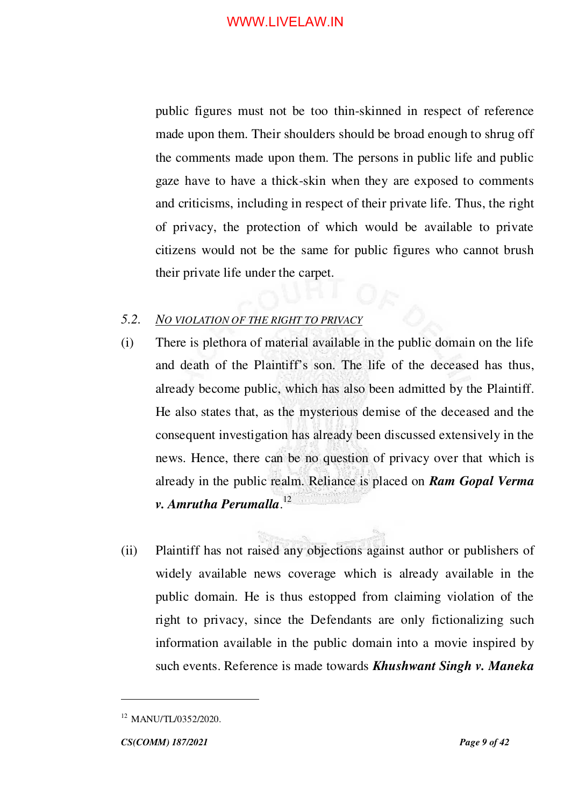public figures must not be too thin-skinned in respect of reference made upon them. Their shoulders should be broad enough to shrug off the comments made upon them. The persons in public life and public gaze have to have a thick-skin when they are exposed to comments and criticisms, including in respect of their private life. Thus, the right of privacy, the protection of which would be available to private citizens would not be the same for public figures who cannot brush their private life under the carpet.

## *5.2. NO VIOLATION OF THE RIGHT TO PRIVACY*

- (i) There is plethora of material available in the public domain on the life and death of the Plaintiff's son. The life of the deceased has thus, already become public, which has also been admitted by the Plaintiff. He also states that, as the mysterious demise of the deceased and the consequent investigation has already been discussed extensively in the news. Hence, there can be no question of privacy over that which is already in the public realm. Reliance is placed on *Ram Gopal Verma v. Amrutha Perumalla*. 12
- (ii) Plaintiff has not raised any objections against author or publishers of widely available news coverage which is already available in the public domain. He is thus estopped from claiming violation of the right to privacy, since the Defendants are only fictionalizing such information available in the public domain into a movie inspired by such events. Reference is made towards *Khushwant Singh v. Maneka*

<sup>&</sup>lt;sup>12</sup> MANU/TL/0352/2020.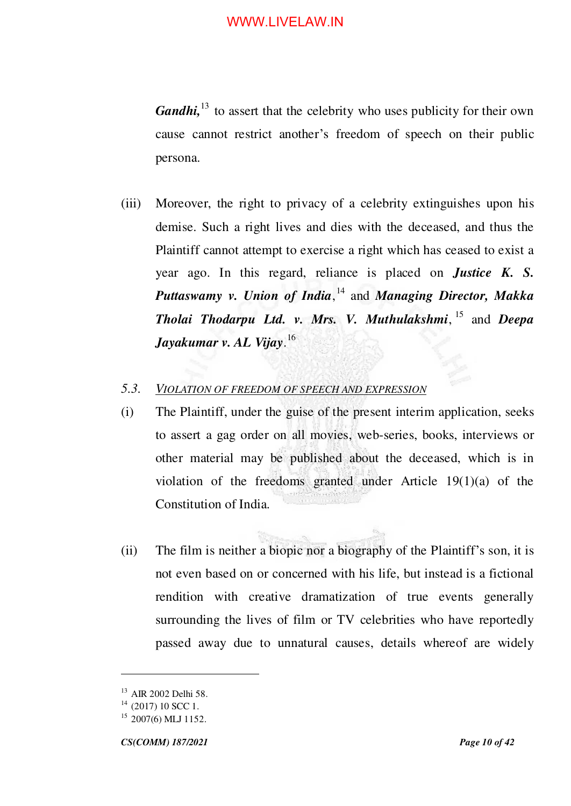*Gandhi*,<sup>13</sup> to assert that the celebrity who uses publicity for their own cause cannot restrict another's freedom of speech on their public persona.

(iii) Moreover, the right to privacy of a celebrity extinguishes upon his demise. Such a right lives and dies with the deceased, and thus the Plaintiff cannot attempt to exercise a right which has ceased to exist a year ago. In this regard, reliance is placed on *Justice K. S. Puttaswamy v. Union of India*, <sup>14</sup> and *Managing Director, Makka Tholai Thodarpu Ltd. v. Mrs. V. Muthulakshmi*, <sup>15</sup> and *Deepa Jayakumar v. AL Vijay*. 16

## *5.3. VIOLATION OF FREEDOM OF SPEECH AND EXPRESSION*

- (i) The Plaintiff, under the guise of the present interim application, seeks to assert a gag order on all movies, web-series, books, interviews or other material may be published about the deceased, which is in violation of the freedoms granted under Article 19(1)(a) of the Constitution of India.
- (ii) The film is neither a biopic nor a biography of the Plaintiff's son, it is not even based on or concerned with his life, but instead is a fictional rendition with creative dramatization of true events generally surrounding the lives of film or TV celebrities who have reportedly passed away due to unnatural causes, details whereof are widely

<sup>13</sup> AIR 2002 Delhi 58.

 $14$  (2017) 10 SCC 1.

<sup>&</sup>lt;sup>15</sup> 2007(6) MLJ 1152.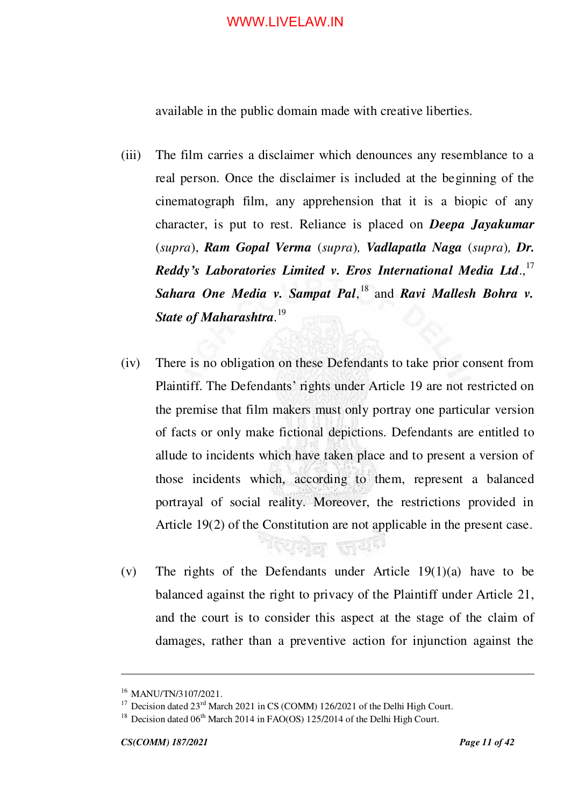available in the public domain made with creative liberties.

- (iii) The film carries a disclaimer which denounces any resemblance to a real person. Once the disclaimer is included at the beginning of the cinematograph film, any apprehension that it is a biopic of any character, is put to rest. Reliance is placed on *Deepa Jayakumar* (*supra*), *Ram Gopal Verma* (*supra*)*, Vadlapatla Naga* (*supra*)*, Dr. Reddy's Laboratories Limited v. Eros International Media Ltd*., 17 Sahara One Media v. Sampat Pal,<sup>18</sup> and *Ravi Mallesh Bohra v. State of Maharashtra.* 19
- (iv) There is no obligation on these Defendants to take prior consent from Plaintiff. The Defendants' rights under Article 19 are not restricted on the premise that film makers must only portray one particular version of facts or only make fictional depictions. Defendants are entitled to allude to incidents which have taken place and to present a version of those incidents which, according to them, represent a balanced portrayal of social reality. Moreover, the restrictions provided in Article 19(2) of the Constitution are not applicable in the present case.
- (v) The rights of the Defendants under Article 19(1)(a) have to be balanced against the right to privacy of the Plaintiff under Article 21, and the court is to consider this aspect at the stage of the claim of damages, rather than a preventive action for injunction against the

गरपानेल समि

<sup>&</sup>lt;sup>16</sup> MANU/TN/3107/2021.

<sup>&</sup>lt;sup>17</sup> Decision dated  $23<sup>rd</sup>$  March 2021 in CS (COMM) 126/2021 of the Delhi High Court.

<sup>&</sup>lt;sup>18</sup> Decision dated  $06<sup>th</sup>$  March 2014 in FAO(OS) 125/2014 of the Delhi High Court.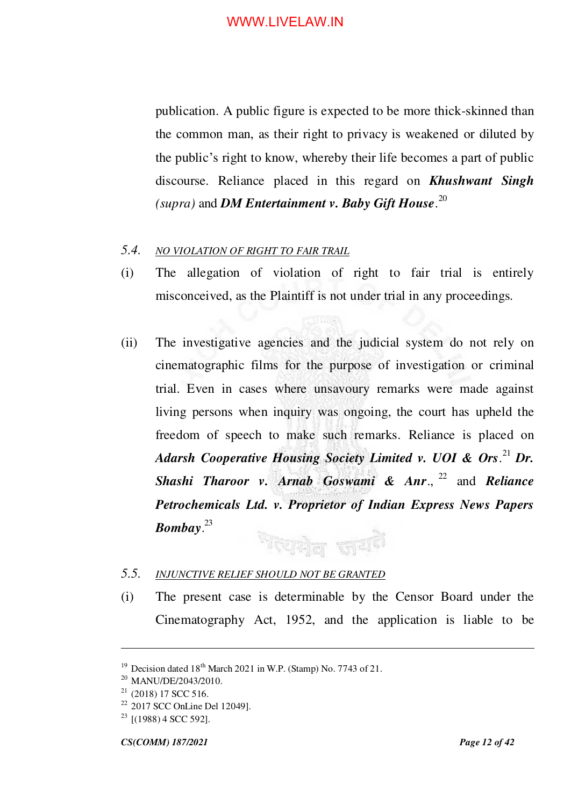publication. A public figure is expected to be more thick-skinned than the common man, as their right to privacy is weakened or diluted by the public's right to know, whereby their life becomes a part of public discourse. Reliance placed in this regard on *Khushwant Singh (supra)* and *DM Entertainment v. Baby Gift House*. 20

#### *5.4. NO VIOLATION OF RIGHT TO FAIR TRAIL*

- (i) The allegation of violation of right to fair trial is entirely misconceived, as the Plaintiff is not under trial in any proceedings*.*
- (ii) The investigative agencies and the judicial system do not rely on cinematographic films for the purpose of investigation or criminal trial. Even in cases where unsavoury remarks were made against living persons when inquiry was ongoing, the court has upheld the freedom of speech to make such remarks. Reliance is placed on *Adarsh Cooperative Housing Society Limited v. UOI & Ors*. <sup>21</sup> *Dr. Shashi Tharoor v. Arnab Goswami & Anr*., <sup>22</sup> and *Reliance Petrochemicals Ltd. v. Proprietor of Indian Express News Papers Bombay*. 23 <sup>ম</sup>ব্দোধীয় জা<sup>ন্ত্ৰই</sup>

#### *5.5. INJUNCTIVE RELIEF SHOULD NOT BE GRANTED*

(i) The present case is determinable by the Censor Board under the Cinematography Act, 1952, and the application is liable to be

<sup>&</sup>lt;sup>19</sup> Decision dated  $18^{th}$  March 2021 in W.P. (Stamp) No. 7743 of 21.

<sup>&</sup>lt;sup>20</sup> MANU/DE/2043/2010.

 $21$  (2018) 17 SCC 516.

<sup>22</sup> 2017 SCC OnLine Del 12049].

 $23$  [(1988) 4 SCC 592].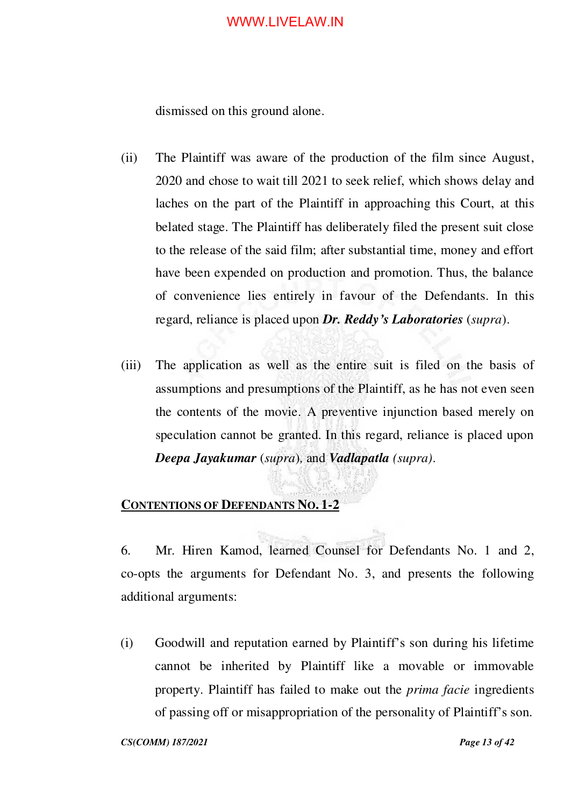dismissed on this ground alone.

- (ii) The Plaintiff was aware of the production of the film since August, 2020 and chose to wait till 2021 to seek relief, which shows delay and laches on the part of the Plaintiff in approaching this Court, at this belated stage. The Plaintiff has deliberately filed the present suit close to the release of the said film; after substantial time, money and effort have been expended on production and promotion. Thus, the balance of convenience lies entirely in favour of the Defendants. In this regard, reliance is placed upon *Dr. Reddy's Laboratories* (*supra*).
- (iii) The application as well as the entire suit is filed on the basis of assumptions and presumptions of the Plaintiff, as he has not even seen the contents of the movie. A preventive injunction based merely on speculation cannot be granted. In this regard, reliance is placed upon *Deepa Jayakumar* (*supra*)*,* and *Vadlapatla (supra)*.

## <span id="page-12-0"></span>**CONTENTIONS OF DEFENDANTS NO. 1-2**

6. Mr. Hiren Kamod, learned Counsel for Defendants No. 1 and 2, co-opts the arguments for Defendant No. 3, and presents the following additional arguments:

(i) Goodwill and reputation earned by Plaintiff's son during his lifetime cannot be inherited by Plaintiff like a movable or immovable property. Plaintiff has failed to make out the *prima facie* ingredients of passing off or misappropriation of the personality of Plaintiff's son.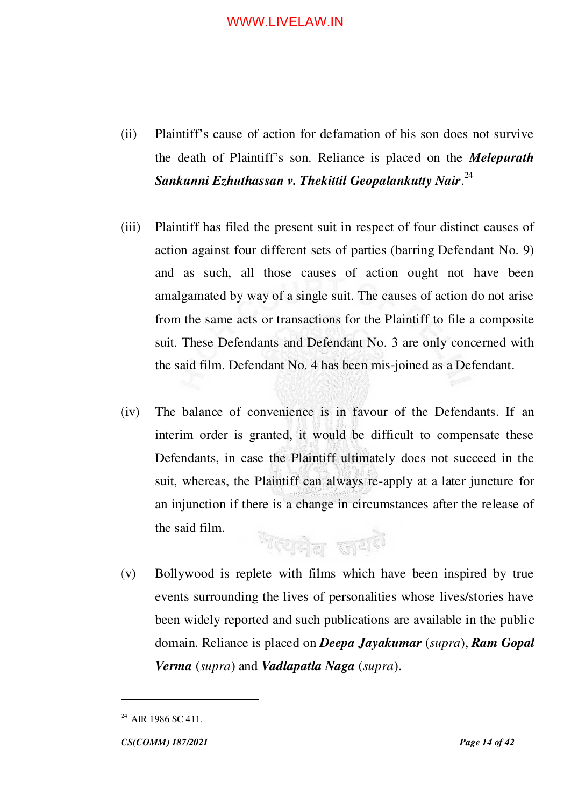- (ii) Plaintiff's cause of action for defamation of his son does not survive the death of Plaintiff's son. Reliance is placed on the *Melepurath Sankunni Ezhuthassan v. Thekittil Geopalankutty Nair*. 24
- (iii) Plaintiff has filed the present suit in respect of four distinct causes of action against four different sets of parties (barring Defendant No. 9) and as such, all those causes of action ought not have been amalgamated by way of a single suit. The causes of action do not arise from the same acts or transactions for the Plaintiff to file a composite suit. These Defendants and Defendant No. 3 are only concerned with the said film. Defendant No. 4 has been mis-joined as a Defendant.
- (iv) The balance of convenience is in favour of the Defendants. If an interim order is granted, it would be difficult to compensate these Defendants, in case the Plaintiff ultimately does not succeed in the suit, whereas, the Plaintiff can always re-apply at a later juncture for an injunction if there is a change in circumstances after the release of the said film. <sup>দ</sup>যোগল জা<sup>ত্ৰই</sup>
- (v) Bollywood is replete with films which have been inspired by true events surrounding the lives of personalities whose lives/stories have been widely reported and such publications are available in the public domain. Reliance is placed on *Deepa Jayakumar* (*supra*), *Ram Gopal Verma* (*supra*) and *Vadlapatla Naga* (*supra*).

 $^{24}$  AIR 1986 SC 411.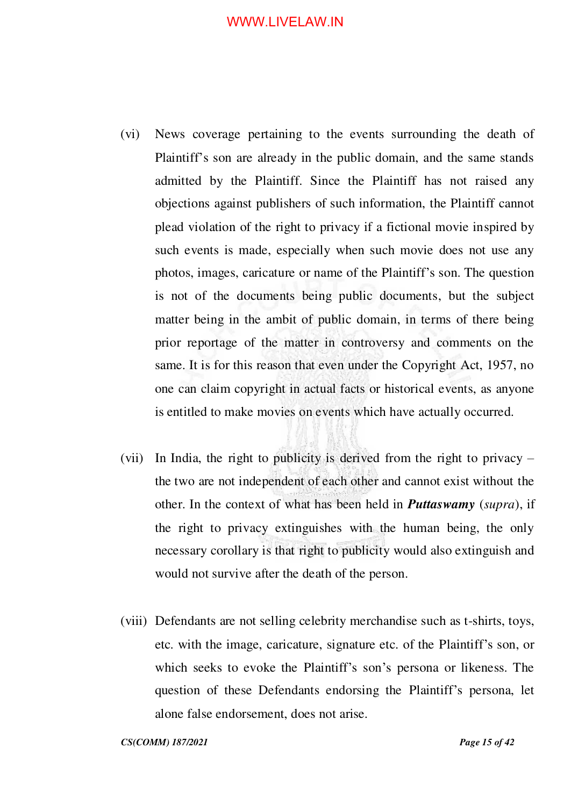- (vi) News coverage pertaining to the events surrounding the death of Plaintiff's son are already in the public domain, and the same stands admitted by the Plaintiff. Since the Plaintiff has not raised any objections against publishers of such information, the Plaintiff cannot plead violation of the right to privacy if a fictional movie inspired by such events is made, especially when such movie does not use any photos, images, caricature or name of the Plaintiff's son. The question is not of the documents being public documents, but the subject matter being in the ambit of public domain, in terms of there being prior reportage of the matter in controversy and comments on the same. It is for this reason that even under the Copyright Act, 1957, no one can claim copyright in actual facts or historical events, as anyone is entitled to make movies on events which have actually occurred.
- (vii) In India, the right to publicity is derived from the right to privacy the two are not independent of each other and cannot exist without the other. In the context of what has been held in *Puttaswamy* (*supra*), if the right to privacy extinguishes with the human being, the only necessary corollary is that right to publicity would also extinguish and would not survive after the death of the person.
- (viii) Defendants are not selling celebrity merchandise such as t-shirts, toys, etc. with the image, caricature, signature etc. of the Plaintiff's son, or which seeks to evoke the Plaintiff's son's persona or likeness. The question of these Defendants endorsing the Plaintiff's persona, let alone false endorsement, does not arise.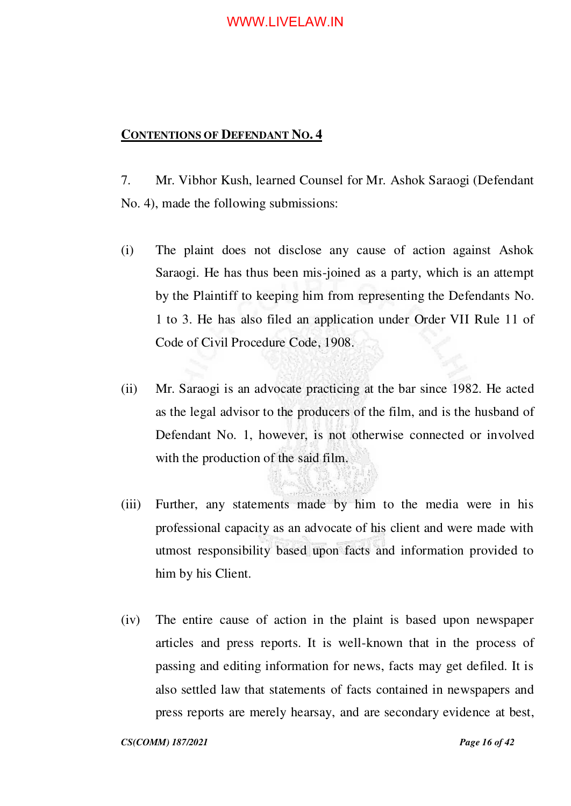## <span id="page-15-0"></span>**CONTENTIONS OF DEFENDANT NO. 4**

7. Mr. Vibhor Kush, learned Counsel for Mr. Ashok Saraogi (Defendant No. 4), made the following submissions:

- (i) The plaint does not disclose any cause of action against Ashok Saraogi. He has thus been mis-joined as a party, which is an attempt by the Plaintiff to keeping him from representing the Defendants No. 1 to 3. He has also filed an application under Order VII Rule 11 of Code of Civil Procedure Code, 1908.
- (ii) Mr. Saraogi is an advocate practicing at the bar since 1982. He acted as the legal advisor to the producers of the film, and is the husband of Defendant No. 1, however, is not otherwise connected or involved with the production of the said film.
- (iii) Further, any statements made by him to the media were in his professional capacity as an advocate of his client and were made with utmost responsibility based upon facts and information provided to him by his Client.
- (iv) The entire cause of action in the plaint is based upon newspaper articles and press reports. It is well-known that in the process of passing and editing information for news, facts may get defiled. It is also settled law that statements of facts contained in newspapers and press reports are merely hearsay, and are secondary evidence at best,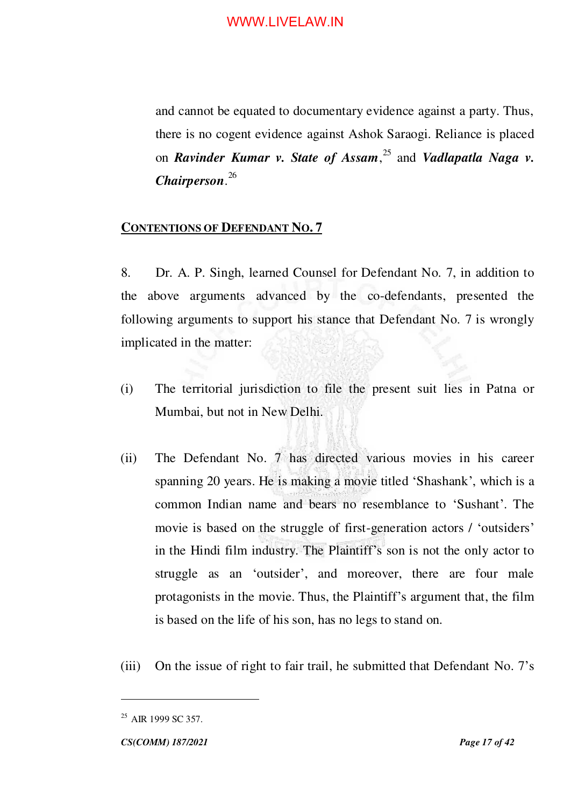and cannot be equated to documentary evidence against a party. Thus, there is no cogent evidence against Ashok Saraogi. Reliance is placed on *Ravinder Kumar v. State of Assam*, <sup>25</sup> and *Vadlapatla Naga v. Chairperson*. 26

#### <span id="page-16-0"></span>**CONTENTIONS OF DEFENDANT NO. 7**

8. Dr. A. P. Singh, learned Counsel for Defendant No. 7, in addition to the above arguments advanced by the co-defendants, presented the following arguments to support his stance that Defendant No. 7 is wrongly implicated in the matter:

- (i) The territorial jurisdiction to file the present suit lies in Patna or Mumbai, but not in New Delhi.
- (ii) The Defendant No. 7 has directed various movies in his career spanning 20 years. He is making a movie titled 'Shashank', which is a common Indian name and bears no resemblance to 'Sushant'. The movie is based on the struggle of first-generation actors / 'outsiders' in the Hindi film industry. The Plaintiff's son is not the only actor to struggle as an 'outsider', and moreover, there are four male protagonists in the movie. Thus, the Plaintiff's argument that, the film is based on the life of his son, has no legs to stand on.
- (iii) On the issue of right to fair trail, he submitted that Defendant No. 7's

<sup>&</sup>lt;sup>25</sup> AIR 1999 SC 357.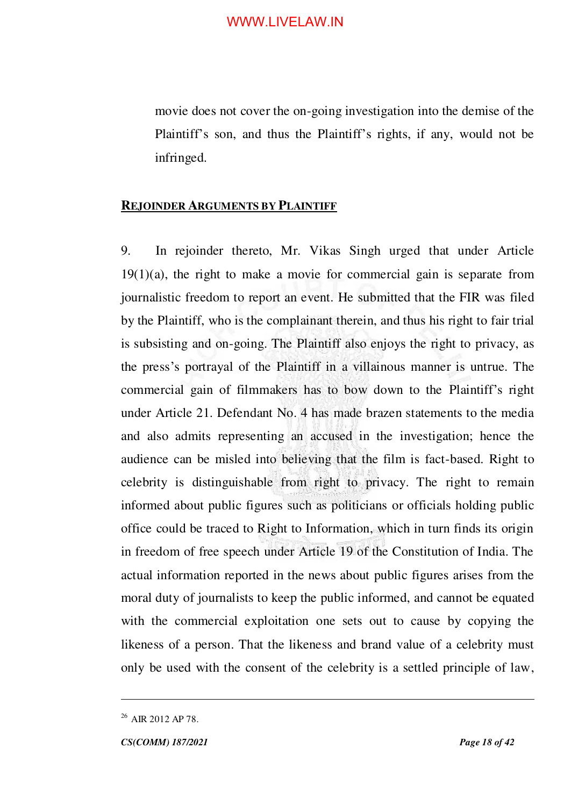movie does not cover the on-going investigation into the demise of the Plaintiff's son, and thus the Plaintiff's rights, if any, would not be infringed.

#### <span id="page-17-0"></span>**REJOINDER ARGUMENTS BY PLAINTIFF**

9. In rejoinder thereto, Mr. Vikas Singh urged that under Article  $19(1)(a)$ , the right to make a movie for commercial gain is separate from journalistic freedom to report an event. He submitted that the FIR was filed by the Plaintiff, who is the complainant therein, and thus his right to fair trial is subsisting and on-going. The Plaintiff also enjoys the right to privacy, as the press's portrayal of the Plaintiff in a villainous manner is untrue. The commercial gain of filmmakers has to bow down to the Plaintiff's right under Article 21. Defendant No. 4 has made brazen statements to the media and also admits representing an accused in the investigation; hence the audience can be misled into believing that the film is fact-based. Right to celebrity is distinguishable from right to privacy. The right to remain informed about public figures such as politicians or officials holding public office could be traced to Right to Information, which in turn finds its origin in freedom of free speech under Article 19 of the Constitution of India. The actual information reported in the news about public figures arises from the moral duty of journalists to keep the public informed, and cannot be equated with the commercial exploitation one sets out to cause by copying the likeness of a person. That the likeness and brand value of a celebrity must only be used with the consent of the celebrity is a settled principle of law,

 $^{26}$  AIR 2012 AP 78.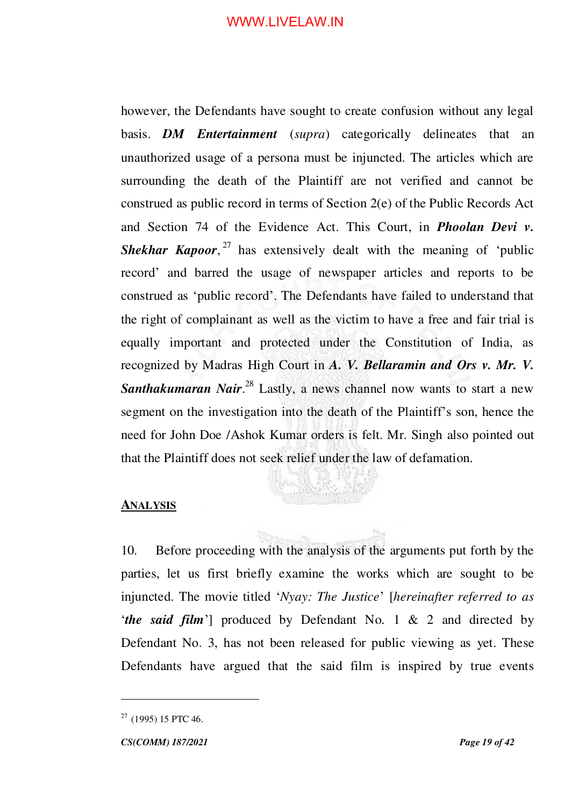however, the Defendants have sought to create confusion without any legal basis. *DM Entertainment* (*supra*) categorically delineates that an unauthorized usage of a persona must be injuncted. The articles which are surrounding the death of the Plaintiff are not verified and cannot be construed as public record in terms of Section 2(e) of the Public Records Act and Section 74 of the Evidence Act. This Court, in *Phoolan Devi v.*  Shekhar Kapoor,<sup>27</sup> has extensively dealt with the meaning of 'public record' and barred the usage of newspaper articles and reports to be construed as 'public record'. The Defendants have failed to understand that the right of complainant as well as the victim to have a free and fair trial is equally important and protected under the Constitution of India, as recognized by Madras High Court in *A. V. Bellaramin and Ors v. Mr. V.*  Santhakumaran Nair.<sup>28</sup> Lastly, a news channel now wants to start a new segment on the investigation into the death of the Plaintiff's son, hence the need for John Doe /Ashok Kumar orders is felt. Mr. Singh also pointed out that the Plaintiff does not seek relief under the law of defamation.

#### <span id="page-18-0"></span>**ANALYSIS**

10. Before proceeding with the analysis of the arguments put forth by the parties, let us first briefly examine the works which are sought to be injuncted. The movie titled '*Nyay: The Justice*' [*hereinafter referred to as*  '*the said film*'] produced by Defendant No. 1 & 2 and directed by Defendant No. 3, has not been released for public viewing as yet. These Defendants have argued that the said film is inspired by true events

 $27$  (1995) 15 PTC 46.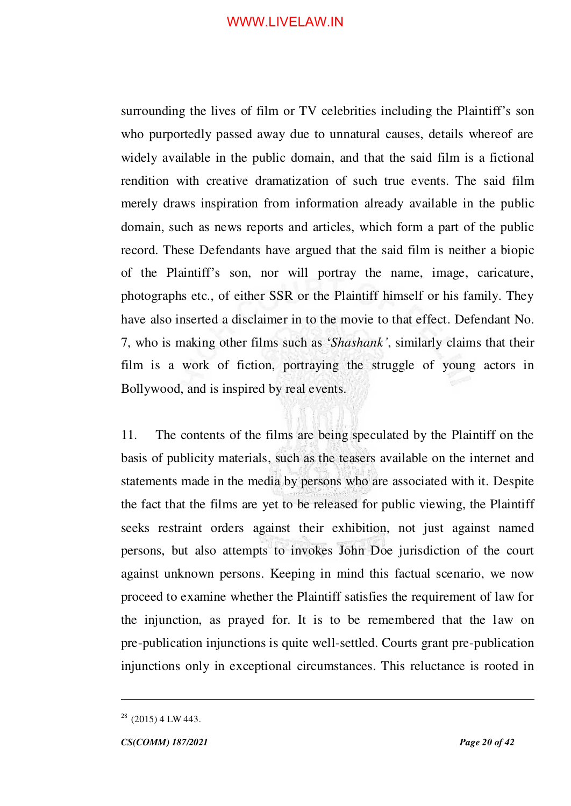surrounding the lives of film or TV celebrities including the Plaintiff's son who purportedly passed away due to unnatural causes, details whereof are widely available in the public domain, and that the said film is a fictional rendition with creative dramatization of such true events. The said film merely draws inspiration from information already available in the public domain, such as news reports and articles, which form a part of the public record. These Defendants have argued that the said film is neither a biopic of the Plaintiff's son, nor will portray the name, image, caricature, photographs etc., of either SSR or the Plaintiff himself or his family. They have also inserted a disclaimer in to the movie to that effect. Defendant No. 7, who is making other films such as '*Shashank'*, similarly claims that their film is a work of fiction, portraying the struggle of young actors in Bollywood, and is inspired by real events.

11. The contents of the films are being speculated by the Plaintiff on the basis of publicity materials, such as the teasers available on the internet and statements made in the media by persons who are associated with it. Despite the fact that the films are yet to be released for public viewing, the Plaintiff seeks restraint orders against their exhibition, not just against named persons, but also attempts to invokes John Doe jurisdiction of the court against unknown persons. Keeping in mind this factual scenario, we now proceed to examine whether the Plaintiff satisfies the requirement of law for the injunction, as prayed for. It is to be remembered that the law on pre-publication injunctions is quite well-settled. Courts grant pre-publication injunctions only in exceptional circumstances. This reluctance is rooted in

 $28$  (2015) 4 LW 443.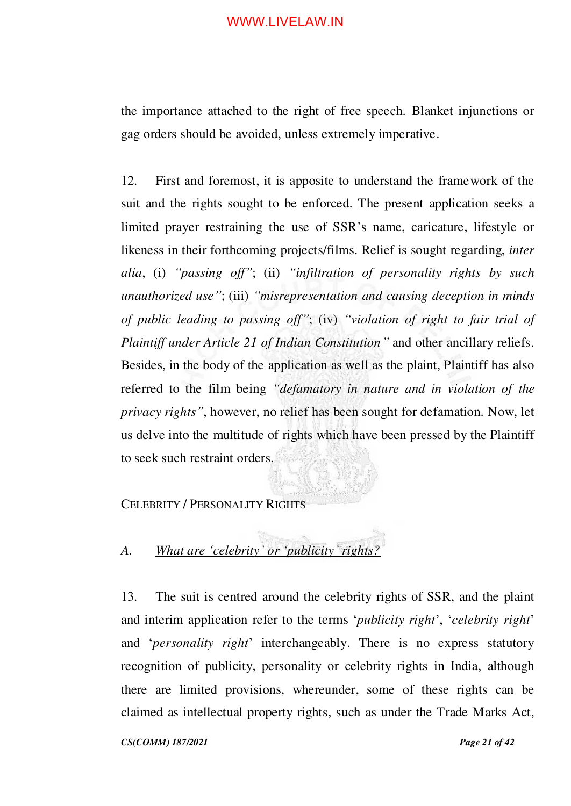the importance attached to the right of free speech. Blanket injunctions or gag orders should be avoided, unless extremely imperative.

12. First and foremost, it is apposite to understand the framework of the suit and the rights sought to be enforced. The present application seeks a limited prayer restraining the use of SSR's name, caricature, lifestyle or likeness in their forthcoming projects/films. Relief is sought regarding, *inter alia*, (i) *"passing off"*; (ii) *"infiltration of personality rights by such unauthorized use"*; (iii) *"misrepresentation and causing deception in minds of public leading to passing off"*; (iv) *"violation of right to fair trial of Plaintiff under Article 21 of Indian Constitution"* and other ancillary reliefs. Besides, in the body of the application as well as the plaint, Plaintiff has also referred to the film being *"defamatory in nature and in violation of the privacy rights"*, however, no relief has been sought for defamation. Now, let us delve into the multitude of rights which have been pressed by the Plaintiff to seek such restraint orders.

#### <span id="page-20-0"></span>CELEBRITY / PERSONALITY RIGHTS

## <span id="page-20-1"></span>*A. What are 'celebrity' or 'publicity' rights?*

13. The suit is centred around the celebrity rights of SSR, and the plaint and interim application refer to the terms '*publicity right*', '*celebrity right*' and '*personality right*' interchangeably. There is no express statutory recognition of publicity, personality or celebrity rights in India, although there are limited provisions, whereunder, some of these rights can be claimed as intellectual property rights, such as under the Trade Marks Act,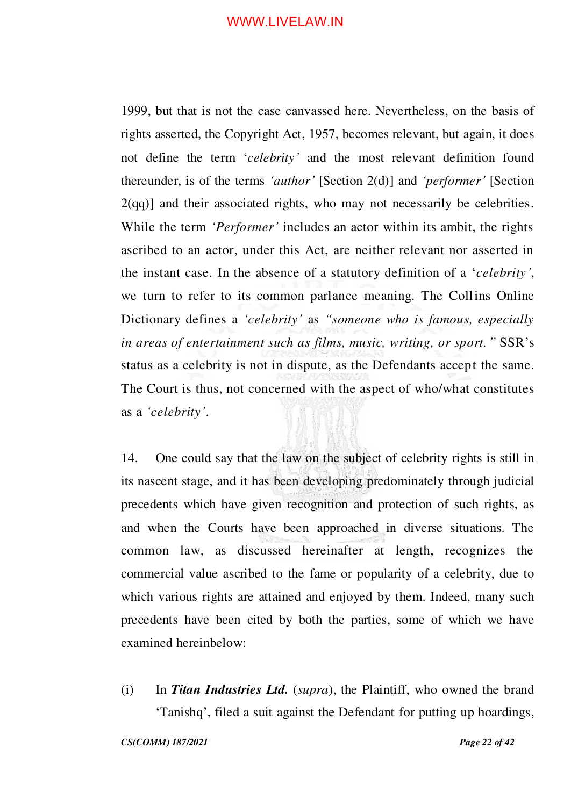1999, but that is not the case canvassed here. Nevertheless, on the basis of rights asserted, the Copyright Act, 1957, becomes relevant, but again, it does not define the term '*celebrity'* and the most relevant definition found thereunder, is of the terms *'author'* [Section 2(d)] and *'performer'* [Section  $2(qq)$ ] and their associated rights, who may not necessarily be celebrities. While the term *'Performer'* includes an actor within its ambit, the rights ascribed to an actor, under this Act, are neither relevant nor asserted in the instant case. In the absence of a statutory definition of a '*celebrity'*, we turn to refer to its common parlance meaning. The Collins Online Dictionary defines a *'celebrity'* as *"someone who is famous, especially in areas of entertainment such as films, music, writing, or sport."* SSR's status as a celebrity is not in dispute, as the Defendants accept the same. The Court is thus, not concerned with the aspect of who/what constitutes as a *'celebrity'*.

14. One could say that the law on the subject of celebrity rights is still in its nascent stage, and it has been developing predominately through judicial precedents which have given recognition and protection of such rights, as and when the Courts have been approached in diverse situations. The common law, as discussed hereinafter at length, recognizes the commercial value ascribed to the fame or popularity of a celebrity, due to which various rights are attained and enjoyed by them. Indeed, many such precedents have been cited by both the parties, some of which we have examined hereinbelow:

(i) In *Titan Industries Ltd.* (*supra*), the Plaintiff, who owned the brand 'Tanishq', filed a suit against the Defendant for putting up hoardings,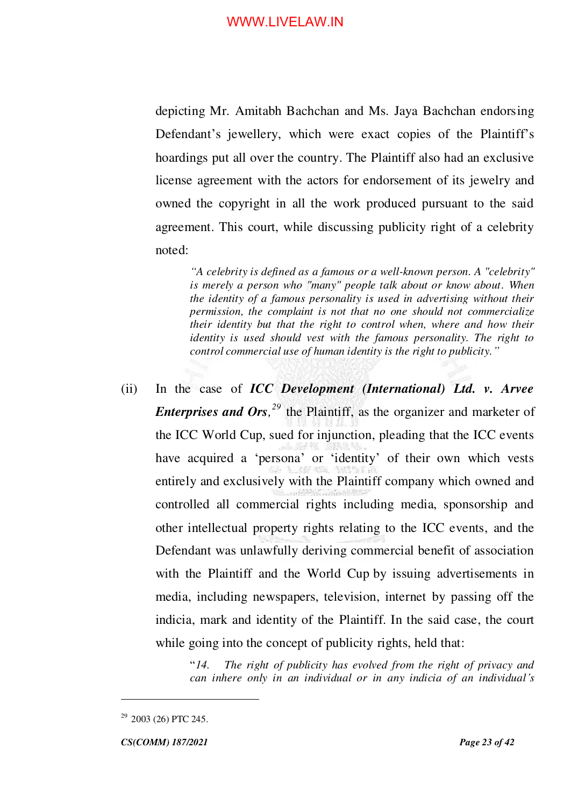depicting Mr. Amitabh Bachchan and Ms. Jaya Bachchan endorsing Defendant's jewellery, which were exact copies of the Plaintiff's hoardings put all over the country. The Plaintiff also had an exclusive license agreement with the actors for endorsement of its jewelry and owned the copyright in all the work produced pursuant to the said agreement. This court, while discussing publicity right of a celebrity noted:

*"A celebrity is defined as a famous or a well-known person. A "celebrity" is merely a person who "many" people talk about or know about. When the identity of a famous personality is used in advertising without their permission, the complaint is not that no one should not commercialize their identity but that the right to control when, where and how their identity is used should vest with the famous personality. The right to control commercial use of human identity is the right to publicity."*

(ii) In the case of *ICC Development (International) Ltd. v. Arvee Enterprises and Ors, <sup>29</sup>* the Plaintiff, as the organizer and marketer of the ICC World Cup, sued for injunction, pleading that the ICC events have acquired a 'persona' or 'identity' of their own which vests entirely and exclusively with the Plaintiff company which owned and controlled all commercial rights including media, sponsorship and other intellectual property rights relating to the ICC events, and the Defendant was unlawfully deriving commercial benefit of association with the Plaintiff and the World Cup by issuing advertisements in media, including newspapers, television, internet by passing off the indicia, mark and identity of the Plaintiff. In the said case, the court while going into the concept of publicity rights, held that:

> "*14. The right of publicity has evolved from the right of privacy and can inhere only in an individual or in any indicia of an individual's*

 $29$  2003 (26) PTC 245.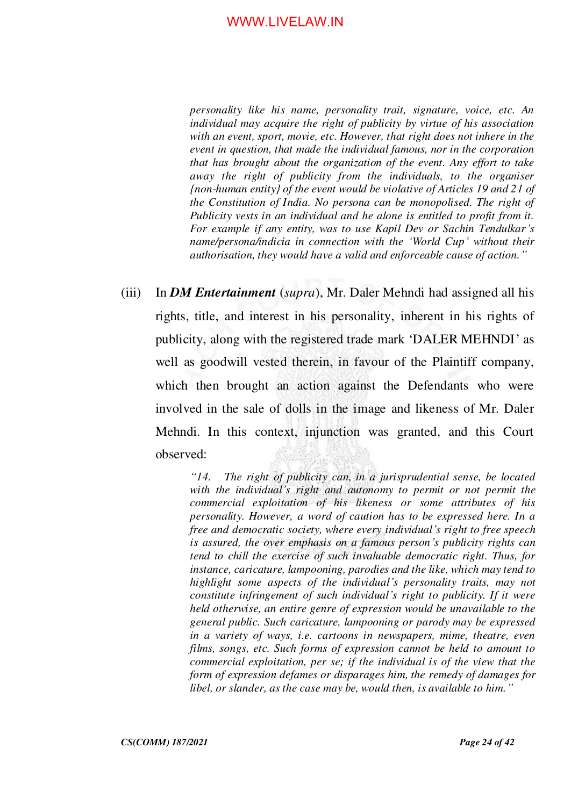*personality like his name, personality trait, signature, voice, etc. An individual may acquire the right of publicity by virtue of his association with an event, sport, movie, etc. However, that right does not inhere in the event in question, that made the individual famous, nor in the corporation that has brought about the organization of the event. Any effort to take away the right of publicity from the individuals, to the organiser {non-human entity} of the event would be violative of Articles 19 and 21 of the Constitution of India. No persona can be monopolised. The right of Publicity vests in an individual and he alone is entitled to profit from it. For example if any entity, was to use Kapil Dev or Sachin Tendulkar's name/persona/indicia in connection with the 'World Cup' without their authorisation, they would have a valid and enforceable cause of action."*

(iii) In *DM Entertainment* (*supra*), Mr. Daler Mehndi had assigned all his rights, title, and interest in his personality, inherent in his rights of publicity, along with the registered trade mark 'DALER MEHNDI' as well as goodwill vested therein, in favour of the Plaintiff company, which then brought an action against the Defendants who were involved in the sale of dolls in the image and likeness of Mr. Daler Mehndi. In this context, injunction was granted, and this Court observed:

> *"14. The right of publicity can, in a jurisprudential sense, be located with the individual's right and autonomy to permit or not permit the commercial exploitation of his likeness or some attributes of his personality. However, a word of caution has to be expressed here. In a free and democratic society, where every individual's right to free speech is assured, the over emphasis on a famous person's publicity rights can tend to chill the exercise of such invaluable democratic right. Thus, for instance, caricature, lampooning, parodies and the like, which may tend to highlight some aspects of the individual's personality traits, may not constitute infringement of such individual's right to publicity. If it were held otherwise, an entire genre of expression would be unavailable to the general public. Such caricature, lampooning or parody may be expressed in a variety of ways, i.e. cartoons in newspapers, mime, theatre, even films, songs, etc. Such forms of expression cannot be held to amount to commercial exploitation, per se; if the individual is of the view that the form of expression defames or disparages him, the remedy of damages for libel, or slander, as the case may be, would then, is available to him."*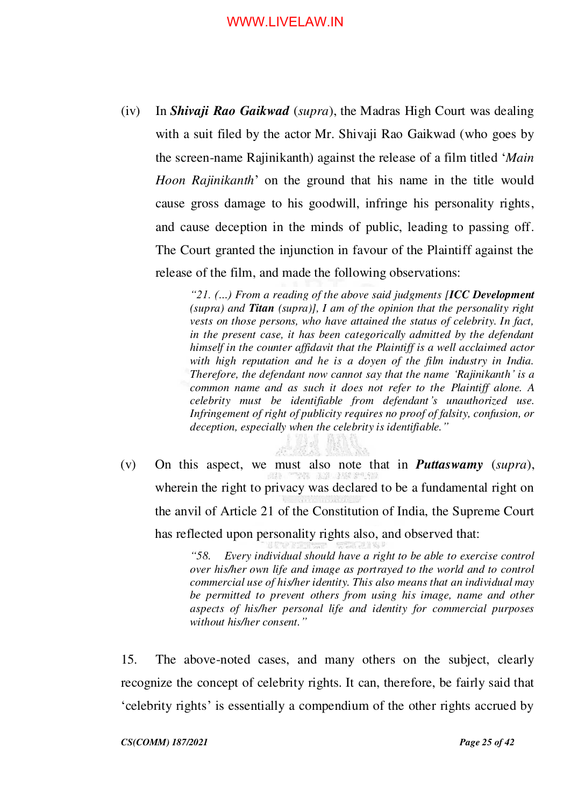(iv) In *Shivaji Rao Gaikwad* (*supra*), the Madras High Court was dealing with a suit filed by the actor Mr. Shivaji Rao Gaikwad (who goes by the screen-name Rajinikanth) against the release of a film titled '*Main Hoon Rajinikanth*' on the ground that his name in the title would cause gross damage to his goodwill, infringe his personality rights, and cause deception in the minds of public, leading to passing off. The Court granted the injunction in favour of the Plaintiff against the release of the film, and made the following observations:

> *"21. (…) From a reading of the above said judgments [ICC Development (supra) and Titan (supra)], I am of the opinion that the personality right vests on those persons, who have attained the status of celebrity. In fact, in the present case, it has been categorically admitted by the defendant himself in the counter affidavit that the Plaintiff is a well acclaimed actor with high reputation and he is a doyen of the film industry in India. Therefore, the defendant now cannot say that the name 'Rajinikanth' is a common name and as such it does not refer to the Plaintiff alone. A celebrity must be identifiable from defendant's unauthorized use. Infringement of right of publicity requires no proof of falsity, confusion, or deception, especially when the celebrity is identifiable."*

(v) On this aspect, we must also note that in *Puttaswamy* (*supra*), wherein the right to privacy was declared to be a fundamental right on the anvil of Article 21 of the Constitution of India, the Supreme Court has reflected upon personality rights also, and observed that:

> *"58. Every individual should have a right to be able to exercise control over his/her own life and image as portrayed to the world and to control commercial use of his/her identity. This also means that an individual may be permitted to prevent others from using his image, name and other aspects of his/her personal life and identity for commercial purposes without his/her consent."*

15. The above-noted cases, and many others on the subject, clearly recognize the concept of celebrity rights. It can, therefore, be fairly said that 'celebrity rights' is essentially a compendium of the other rights accrued by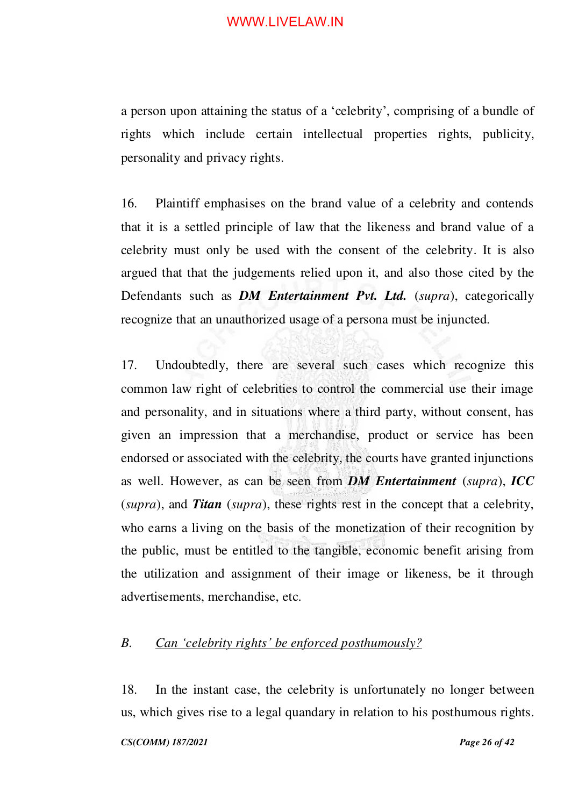a person upon attaining the status of a 'celebrity', comprising of a bundle of rights which include certain intellectual properties rights, publicity, personality and privacy rights.

16. Plaintiff emphasises on the brand value of a celebrity and contends that it is a settled principle of law that the likeness and brand value of a celebrity must only be used with the consent of the celebrity. It is also argued that that the judgements relied upon it, and also those cited by the Defendants such as *DM Entertainment Pvt. Ltd.* (*supra*), categorically recognize that an unauthorized usage of a persona must be injuncted.

17. Undoubtedly, there are several such cases which recognize this common law right of celebrities to control the commercial use their image and personality, and in situations where a third party, without consent, has given an impression that a merchandise, product or service has been endorsed or associated with the celebrity, the courts have granted injunctions as well. However, as can be seen from *DM Entertainment* (*supra*), *ICC* (*supra*), and *Titan* (*supra*), these rights rest in the concept that a celebrity, who earns a living on the basis of the monetization of their recognition by the public, must be entitled to the tangible, economic benefit arising from the utilization and assignment of their image or likeness, be it through advertisements, merchandise, etc.

## <span id="page-25-0"></span>*B. Can 'celebrity rights' be enforced posthumously?*

18. In the instant case, the celebrity is unfortunately no longer between us, which gives rise to a legal quandary in relation to his posthumous rights.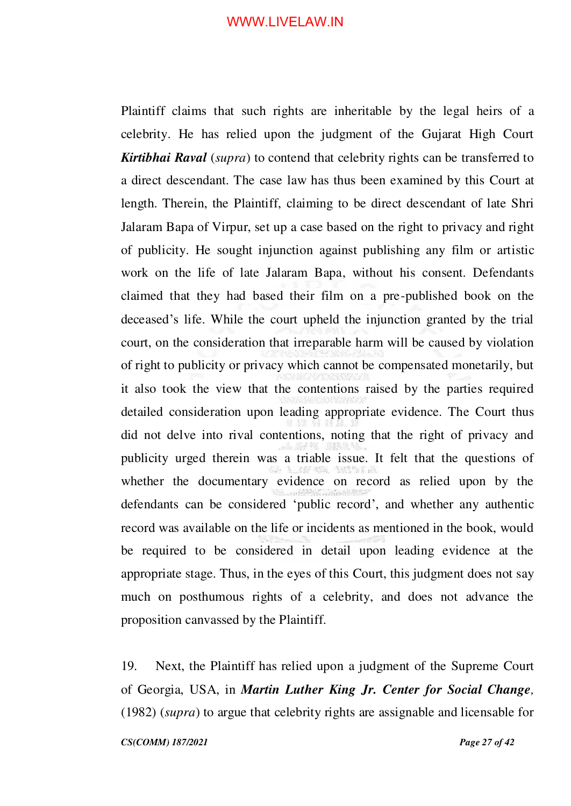Plaintiff claims that such rights are inheritable by the legal heirs of a celebrity. He has relied upon the judgment of the Gujarat High Court *Kirtibhai Raval* (*supra*) to contend that celebrity rights can be transferred to a direct descendant. The case law has thus been examined by this Court at length. Therein, the Plaintiff, claiming to be direct descendant of late Shri Jalaram Bapa of Virpur, set up a case based on the right to privacy and right of publicity. He sought injunction against publishing any film or artistic work on the life of late Jalaram Bapa, without his consent. Defendants claimed that they had based their film on a pre-published book on the deceased's life. While the court upheld the injunction granted by the trial court, on the consideration that irreparable harm will be caused by violation of right to publicity or privacy which cannot be compensated monetarily, but it also took the view that the contentions raised by the parties required detailed consideration upon leading appropriate evidence. The Court thus did not delve into rival contentions, noting that the right of privacy and publicity urged therein was a triable issue. It felt that the questions of whether the documentary evidence on record as relied upon by the defendants can be considered 'public record', and whether any authentic record was available on the life or incidents as mentioned in the book, would be required to be considered in detail upon leading evidence at the appropriate stage. Thus, in the eyes of this Court, this judgment does not say much on posthumous rights of a celebrity, and does not advance the proposition canvassed by the Plaintiff.

19. Next, the Plaintiff has relied upon a judgment of the Supreme Court of Georgia, USA, in *Martin Luther King Jr. Center for Social Change,*  (1982) (*supra*) to argue that celebrity rights are assignable and licensable for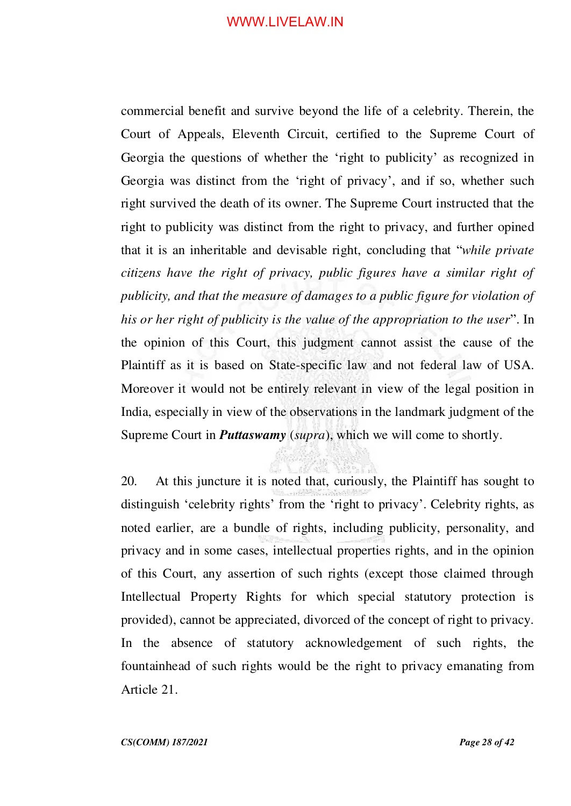commercial benefit and survive beyond the life of a celebrity. Therein, the Court of Appeals, Eleventh Circuit, certified to the Supreme Court of Georgia the questions of whether the 'right to publicity' as recognized in Georgia was distinct from the 'right of privacy', and if so, whether such right survived the death of its owner. The Supreme Court instructed that the right to publicity was distinct from the right to privacy, and further opined that it is an inheritable and devisable right, concluding that "*while private citizens have the right of privacy, public figures have a similar right of publicity, and that the measure of damages to a public figure for violation of his or her right of publicity is the value of the appropriation to the user*". In the opinion of this Court, this judgment cannot assist the cause of the Plaintiff as it is based on State-specific law and not federal law of USA. Moreover it would not be entirely relevant in view of the legal position in India, especially in view of the observations in the landmark judgment of the Supreme Court in *Puttaswamy* (*supra*), which we will come to shortly.

20. At this juncture it is noted that, curiously, the Plaintiff has sought to distinguish 'celebrity rights' from the 'right to privacy'. Celebrity rights, as noted earlier, are a bundle of rights, including publicity, personality, and privacy and in some cases, intellectual properties rights, and in the opinion of this Court, any assertion of such rights (except those claimed through Intellectual Property Rights for which special statutory protection is provided), cannot be appreciated, divorced of the concept of right to privacy. In the absence of statutory acknowledgement of such rights, the fountainhead of such rights would be the right to privacy emanating from Article 21.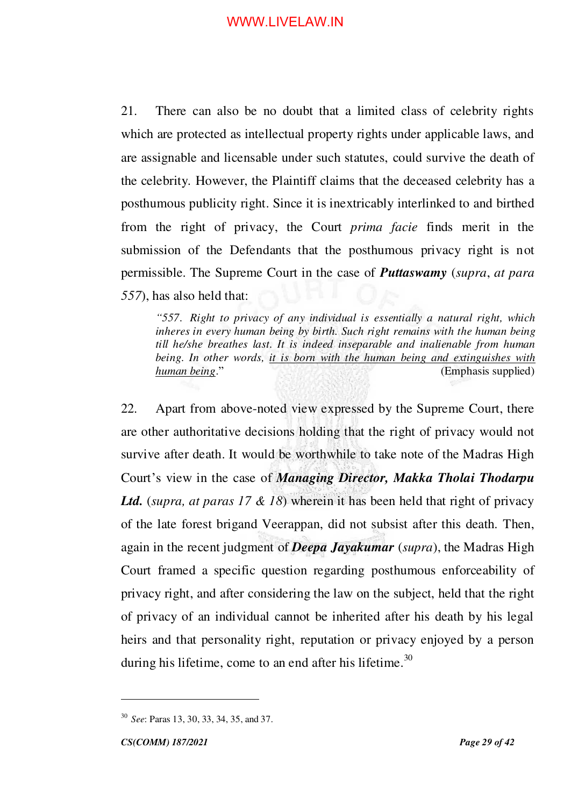21. There can also be no doubt that a limited class of celebrity rights which are protected as intellectual property rights under applicable laws, and are assignable and licensable under such statutes, could survive the death of the celebrity. However, the Plaintiff claims that the deceased celebrity has a posthumous publicity right. Since it is inextricably interlinked to and birthed from the right of privacy, the Court *prima facie* finds merit in the submission of the Defendants that the posthumous privacy right is not permissible. The Supreme Court in the case of *Puttaswamy* (*supra*, *at para 557*), has also held that:

*"557*. *Right to privacy of any individual is essentially a natural right, which inheres in every human being by birth. Such right remains with the human being till he/she breathes last. It is indeed inseparable and inalienable from human being. In other words, it is born with the human being and extinguishes with human being*." (Emphasis supplied)

22. Apart from above-noted view expressed by the Supreme Court, there are other authoritative decisions holding that the right of privacy would not survive after death. It would be worthwhile to take note of the Madras High Court's view in the case of *Managing Director, Makka Tholai Thodarpu Ltd.* (*supra, at paras 17 & 18*) wherein it has been held that right of privacy of the late forest brigand Veerappan, did not subsist after this death. Then, again in the recent judgment of *Deepa Jayakumar* (*supra*), the Madras High Court framed a specific question regarding posthumous enforceability of privacy right, and after considering the law on the subject, held that the right of privacy of an individual cannot be inherited after his death by his legal heirs and that personality right, reputation or privacy enjoyed by a person during his lifetime, come to an end after his lifetime. $30$ 

<sup>30</sup> *See*: Paras 13, 30, 33, 34, 35, and 37.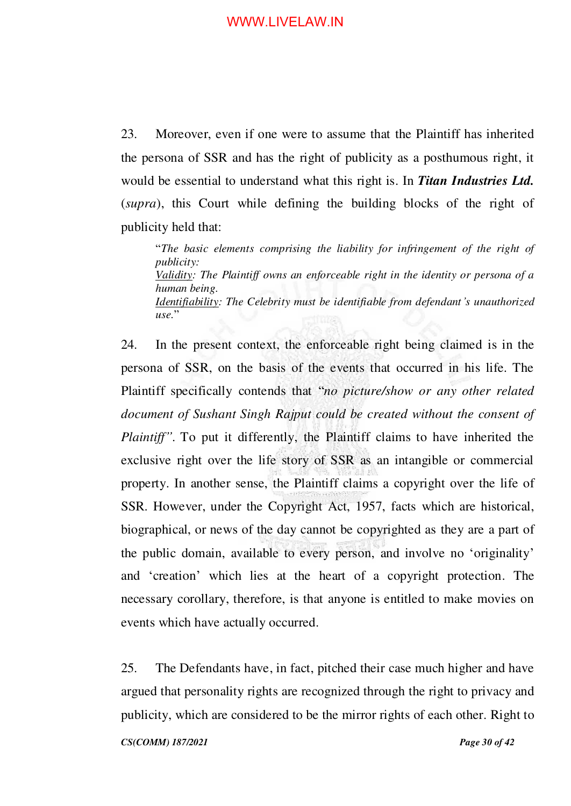23. Moreover, even if one were to assume that the Plaintiff has inherited the persona of SSR and has the right of publicity as a posthumous right, it would be essential to understand what this right is. In *Titan Industries Ltd.*  (*supra*), this Court while defining the building blocks of the right of publicity held that:

"*The basic elements comprising the liability for infringement of the right of publicity: Validity: The Plaintiff owns an enforceable right in the identity or persona of a human being. Identifiability: The Celebrity must be identifiable from defendant's unauthorized*   $use.$ "

24. In the present context, the enforceable right being claimed is in the persona of SSR, on the basis of the events that occurred in his life. The Plaintiff specifically contends that "*no picture/show or any other related document of Sushant Singh Rajput could be created without the consent of Plaintiff*<sup>"</sup>. To put it differently, the Plaintiff claims to have inherited the exclusive right over the life story of SSR as an intangible or commercial property. In another sense, the Plaintiff claims a copyright over the life of SSR. However, under the Copyright Act, 1957, facts which are historical, biographical, or news of the day cannot be copyrighted as they are a part of the public domain, available to every person, and involve no 'originality' and 'creation' which lies at the heart of a copyright protection. The necessary corollary, therefore, is that anyone is entitled to make movies on events which have actually occurred.

25. The Defendants have, in fact, pitched their case much higher and have argued that personality rights are recognized through the right to privacy and publicity, which are considered to be the mirror rights of each other. Right to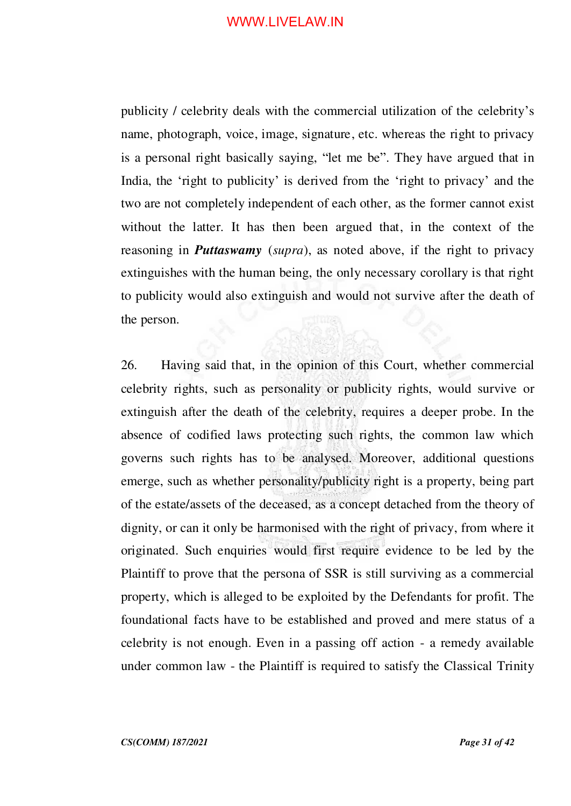publicity / celebrity deals with the commercial utilization of the celebrity's name, photograph, voice, image, signature, etc. whereas the right to privacy is a personal right basically saying, "let me be". They have argued that in India, the 'right to publicity' is derived from the 'right to privacy' and the two are not completely independent of each other, as the former cannot exist without the latter. It has then been argued that, in the context of the reasoning in *Puttaswamy* (*supra*), as noted above, if the right to privacy extinguishes with the human being, the only necessary corollary is that right to publicity would also extinguish and would not survive after the death of the person.

26. Having said that, in the opinion of this Court, whether commercial celebrity rights, such as personality or publicity rights, would survive or extinguish after the death of the celebrity, requires a deeper probe. In the absence of codified laws protecting such rights, the common law which governs such rights has to be analysed. Moreover, additional questions emerge, such as whether personality/publicity right is a property, being part of the estate/assets of the deceased, as a concept detached from the theory of dignity, or can it only be harmonised with the right of privacy, from where it originated. Such enquiries would first require evidence to be led by the Plaintiff to prove that the persona of SSR is still surviving as a commercial property, which is alleged to be exploited by the Defendants for profit. The foundational facts have to be established and proved and mere status of a celebrity is not enough. Even in a passing off action - a remedy available under common law - the Plaintiff is required to satisfy the Classical Trinity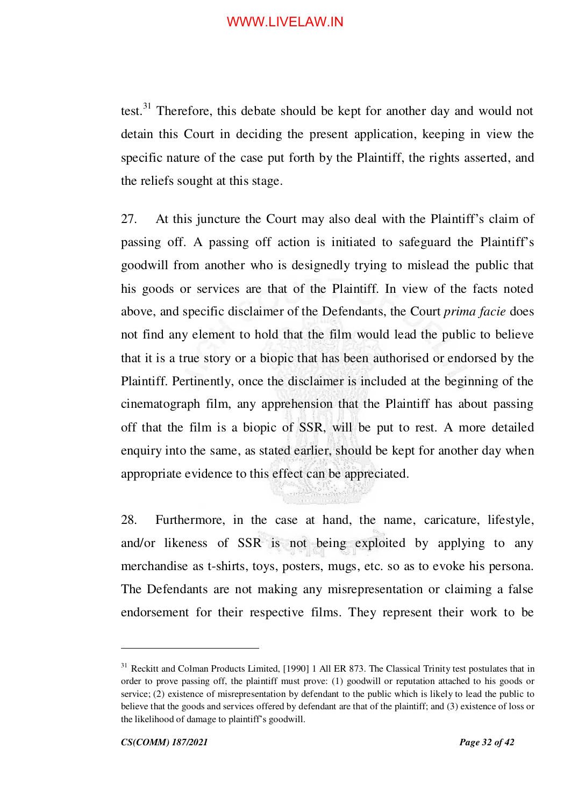test.<sup>31</sup> Therefore, this debate should be kept for another day and would not detain this Court in deciding the present application, keeping in view the specific nature of the case put forth by the Plaintiff, the rights asserted, and the reliefs sought at this stage.

27. At this juncture the Court may also deal with the Plaintiff's claim of passing off. A passing off action is initiated to safeguard the Plaintiff's goodwill from another who is designedly trying to mislead the public that his goods or services are that of the Plaintiff. In view of the facts noted above, and specific disclaimer of the Defendants, the Court *prima facie* does not find any element to hold that the film would lead the public to believe that it is a true story or a biopic that has been authorised or endorsed by the Plaintiff. Pertinently, once the disclaimer is included at the beginning of the cinematograph film, any apprehension that the Plaintiff has about passing off that the film is a biopic of SSR, will be put to rest. A more detailed enquiry into the same, as stated earlier, should be kept for another day when appropriate evidence to this effect can be appreciated.

28. Furthermore, in the case at hand, the name, caricature, lifestyle, and/or likeness of SSR is not being exploited by applying to any merchandise as t-shirts, toys, posters, mugs, etc. so as to evoke his persona. The Defendants are not making any misrepresentation or claiming a false endorsement for their respective films. They represent their work to be

<sup>&</sup>lt;sup>31</sup> Reckitt and Colman Products Limited, [1990] 1 All ER 873. The Classical Trinity test postulates that in order to prove passing off, the plaintiff must prove: (1) goodwill or reputation attached to his goods or service; (2) existence of misrepresentation by defendant to the public which is likely to lead the public to believe that the goods and services offered by defendant are that of the plaintiff; and (3) existence of loss or the likelihood of damage to plaintiff's goodwill.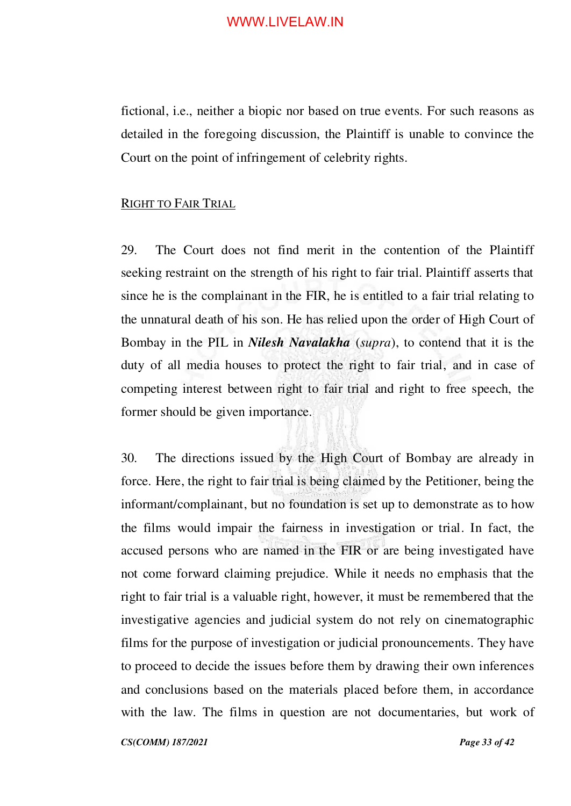fictional, i.e., neither a biopic nor based on true events. For such reasons as detailed in the foregoing discussion, the Plaintiff is unable to convince the Court on the point of infringement of celebrity rights.

#### <span id="page-32-0"></span>RIGHT TO FAIR TRIAL

29. The Court does not find merit in the contention of the Plaintiff seeking restraint on the strength of his right to fair trial. Plaintiff asserts that since he is the complainant in the FIR, he is entitled to a fair trial relating to the unnatural death of his son. He has relied upon the order of High Court of Bombay in the PIL in *Nilesh Navalakha* (*supra*), to contend that it is the duty of all media houses to protect the right to fair trial, and in case of competing interest between right to fair trial and right to free speech, the former should be given importance.

30. The directions issued by the High Court of Bombay are already in force. Here, the right to fair trial is being claimed by the Petitioner, being the informant/complainant, but no foundation is set up to demonstrate as to how the films would impair the fairness in investigation or trial. In fact, the accused persons who are named in the FIR or are being investigated have not come forward claiming prejudice. While it needs no emphasis that the right to fair trial is a valuable right, however, it must be remembered that the investigative agencies and judicial system do not rely on cinematographic films for the purpose of investigation or judicial pronouncements. They have to proceed to decide the issues before them by drawing their own inferences and conclusions based on the materials placed before them, in accordance with the law. The films in question are not documentaries, but work of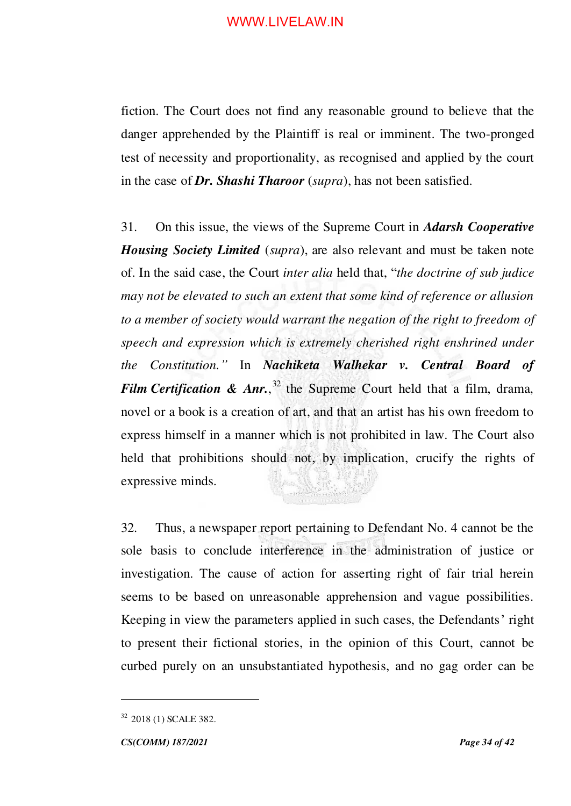fiction. The Court does not find any reasonable ground to believe that the danger apprehended by the Plaintiff is real or imminent. The two-pronged test of necessity and proportionality, as recognised and applied by the court in the case of *Dr. Shashi Tharoor* (*supra*), has not been satisfied.

31. On this issue, the views of the Supreme Court in *Adarsh Cooperative Housing Society Limited* (*supra*), are also relevant and must be taken note of. In the said case, the Court *inter alia* held that, "*the doctrine of sub judice may not be elevated to such an extent that some kind of reference or allusion*  to a member of society would warrant the negation of the right to freedom of *speech and expression which is extremely cherished right enshrined under the Constitution."* In *Nachiketa Walhekar v. Central Board of Film Certification & Anr.*,<sup>32</sup> the Supreme Court held that a film, drama, novel or a book is a creation of art, and that an artist has his own freedom to express himself in a manner which is not prohibited in law. The Court also held that prohibitions should not, by implication, crucify the rights of expressive minds.

32. Thus, a newspaper report pertaining to Defendant No. 4 cannot be the sole basis to conclude interference in the administration of justice or investigation. The cause of action for asserting right of fair trial herein seems to be based on unreasonable apprehension and vague possibilities. Keeping in view the parameters applied in such cases, the Defendants' right to present their fictional stories, in the opinion of this Court, cannot be curbed purely on an unsubstantiated hypothesis, and no gag order can be

<sup>32</sup> 2018 (1) SCALE 382.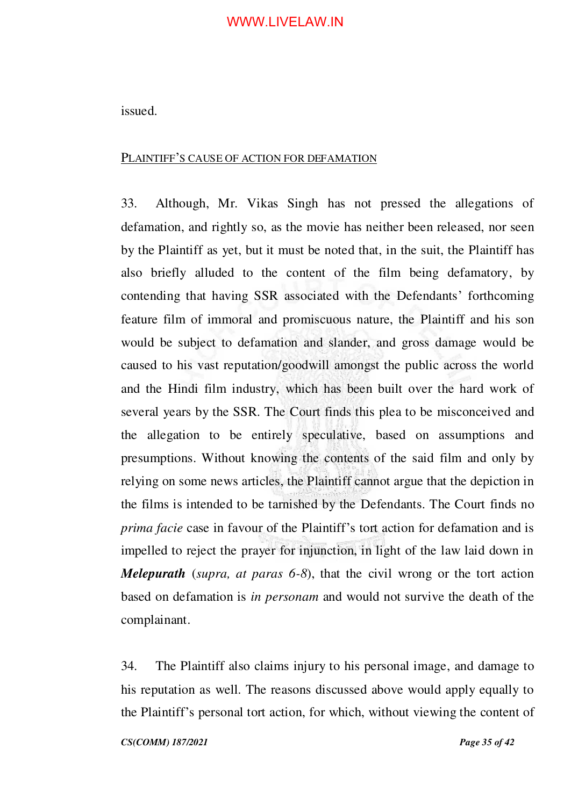issued.

#### <span id="page-34-0"></span>PLAINTIFF'S CAUSE OF ACTION FOR DEFAMATION

33. Although, Mr. Vikas Singh has not pressed the allegations of defamation, and rightly so, as the movie has neither been released, nor seen by the Plaintiff as yet, but it must be noted that, in the suit, the Plaintiff has also briefly alluded to the content of the film being defamatory, by contending that having SSR associated with the Defendants' forthcoming feature film of immoral and promiscuous nature, the Plaintiff and his son would be subject to defamation and slander, and gross damage would be caused to his vast reputation/goodwill amongst the public across the world and the Hindi film industry, which has been built over the hard work of several years by the SSR. The Court finds this plea to be misconceived and the allegation to be entirely speculative, based on assumptions and presumptions. Without knowing the contents of the said film and only by relying on some news articles, the Plaintiff cannot argue that the depiction in the films is intended to be tarnished by the Defendants. The Court finds no *prima facie* case in favour of the Plaintiff's tort action for defamation and is impelled to reject the prayer for injunction, in light of the law laid down in *Melepurath* (*supra, at paras 6-8*), that the civil wrong or the tort action based on defamation is *in personam* and would not survive the death of the complainant.

34. The Plaintiff also claims injury to his personal image, and damage to his reputation as well. The reasons discussed above would apply equally to the Plaintiff's personal tort action, for which, without viewing the content of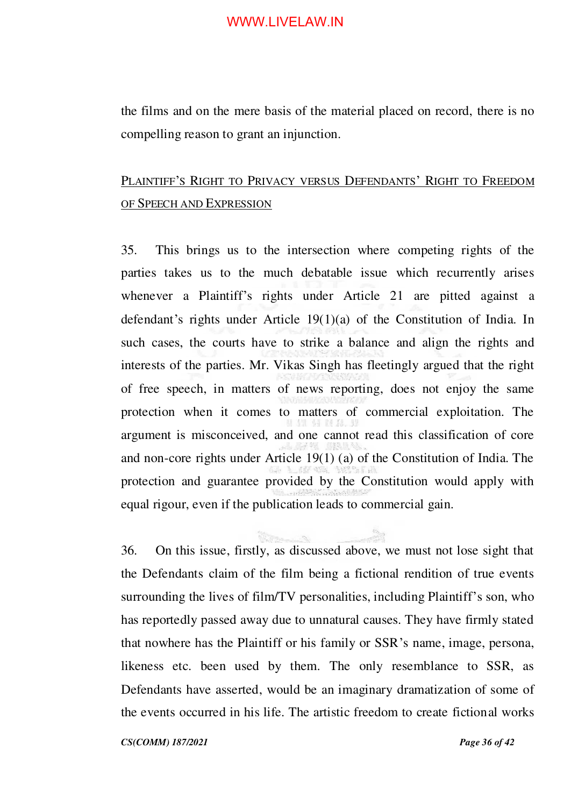the films and on the mere basis of the material placed on record, there is no compelling reason to grant an injunction.

# <span id="page-35-0"></span>PLAINTIFF'S RIGHT TO PRIVACY VERSUS DEFENDANTS' RIGHT TO FREEDOM OF SPEECH AND EXPRESSION

35. This brings us to the intersection where competing rights of the parties takes us to the much debatable issue which recurrently arises whenever a Plaintiff's rights under Article 21 are pitted against a defendant's rights under Article 19(1)(a) of the Constitution of India. In such cases, the courts have to strike a balance and align the rights and interests of the parties. Mr. Vikas Singh has fleetingly argued that the right of free speech, in matters of news reporting, does not enjoy the same protection when it comes to matters of commercial exploitation. The argument is misconceived, and one cannot read this classification of core and non-core rights under Article 19(1) (a) of the Constitution of India. The protection and guarantee provided by the Constitution would apply with equal rigour, even if the publication leads to commercial gain.

36. On this issue, firstly, as discussed above, we must not lose sight that the Defendants claim of the film being a fictional rendition of true events surrounding the lives of film/TV personalities, including Plaintiff's son, who has reportedly passed away due to unnatural causes. They have firmly stated that nowhere has the Plaintiff or his family or SSR's name, image, persona, likeness etc. been used by them. The only resemblance to SSR, as Defendants have asserted, would be an imaginary dramatization of some of the events occurred in his life. The artistic freedom to create fictional works

*CS(COMM) 187/2021 Page 36 of 42*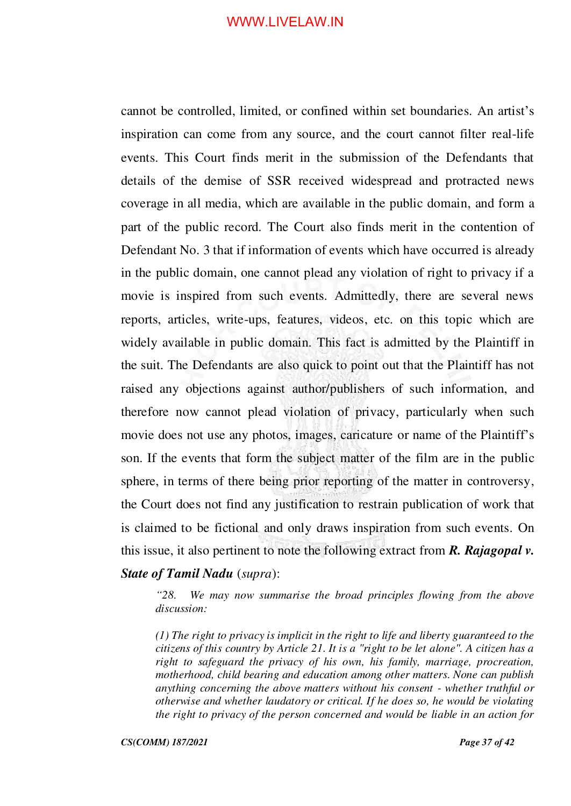cannot be controlled, limited, or confined within set boundaries. An artist's inspiration can come from any source, and the court cannot filter real-life events. This Court finds merit in the submission of the Defendants that details of the demise of SSR received widespread and protracted news coverage in all media, which are available in the public domain, and form a part of the public record. The Court also finds merit in the contention of Defendant No. 3 that if information of events which have occurred is already in the public domain, one cannot plead any violation of right to privacy if a movie is inspired from such events. Admittedly, there are several news reports, articles, write-ups, features, videos, etc. on this topic which are widely available in public domain. This fact is admitted by the Plaintiff in the suit. The Defendants are also quick to point out that the Plaintiff has not raised any objections against author/publishers of such information, and therefore now cannot plead violation of privacy, particularly when such movie does not use any photos, images, caricature or name of the Plaintiff's son. If the events that form the subject matter of the film are in the public sphere, in terms of there being prior reporting of the matter in controversy, the Court does not find any justification to restrain publication of work that is claimed to be fictional and only draws inspiration from such events. On this issue, it also pertinent to note the following extract from *R. Rajagopal v. State of Tamil Nadu* (*supra*):

*"28. We may now summarise the broad principles flowing from the above discussion:* 

*(1) The right to privacy is implicit in the right to life and liberty guaranteed to the citizens of this country by Article 21. It is a "right to be let alone". A citizen has a right to safeguard the privacy of his own, his family, marriage, procreation, motherhood, child bearing and education among other matters. None can publish anything concerning the above matters without his consent - whether truthful or otherwise and whether laudatory or critical. If he does so, he would be violating the right to privacy of the person concerned and would be liable in an action for*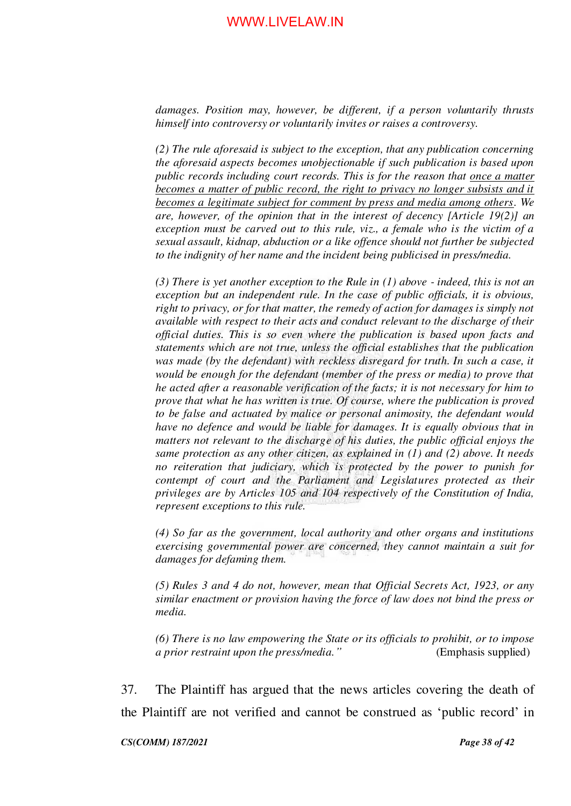*damages. Position may, however, be different, if a person voluntarily thrusts himself into controversy or voluntarily invites or raises a controversy.* 

*(2) The rule aforesaid is subject to the exception, that any publication concerning the aforesaid aspects becomes unobjectionable if such publication is based upon public records including court records. This is for the reason that once a matter becomes a matter of public record, the right to privacy no longer subsists and it becomes a legitimate subject for comment by press and media among others. We are, however, of the opinion that in the interest of decency [Article 19(2)] an exception must be carved out to this rule, viz., a female who is the victim of a sexual assault, kidnap, abduction or a like offence should not further be subjected to the indignity of her name and the incident being publicised in press/media.* 

*(3) There is yet another exception to the Rule in (1) above - indeed, this is not an exception but an independent rule. In the case of public officials, it is obvious, right to privacy, or for that matter, the remedy of action for damages is simply not available with respect to their acts and conduct relevant to the discharge of their official duties. This is so even where the publication is based upon facts and statements which are not true, unless the official establishes that the publication was made (by the defendant) with reckless disregard for truth. In such a case, it would be enough for the defendant (member of the press or media) to prove that he acted after a reasonable verification of the facts; it is not necessary for him to prove that what he has written is true. Of course, where the publication is proved to be false and actuated by malice or personal animosity, the defendant would have no defence and would be liable for damages. It is equally obvious that in matters not relevant to the discharge of his duties, the public official enjoys the same protection as any other citizen, as explained in (1) and (2) above. It needs no reiteration that judiciary, which is protected by the power to punish for contempt of court and the Parliament and Legislatures protected as their privileges are by Articles 105 and 104 respectively of the Constitution of India, represent exceptions to this rule.* 

*(4) So far as the government, local authority and other organs and institutions exercising governmental power are concerned, they cannot maintain a suit for damages for defaming them.* 

*(5) Rules 3 and 4 do not, however, mean that Official Secrets Act, 1923, or any similar enactment or provision having the force of law does not bind the press or media.* 

*(6) There is no law empowering the State or its officials to prohibit, or to impose a prior restraint upon the press/media."* (Emphasis supplied)

37. The Plaintiff has argued that the news articles covering the death of the Plaintiff are not verified and cannot be construed as 'public record' in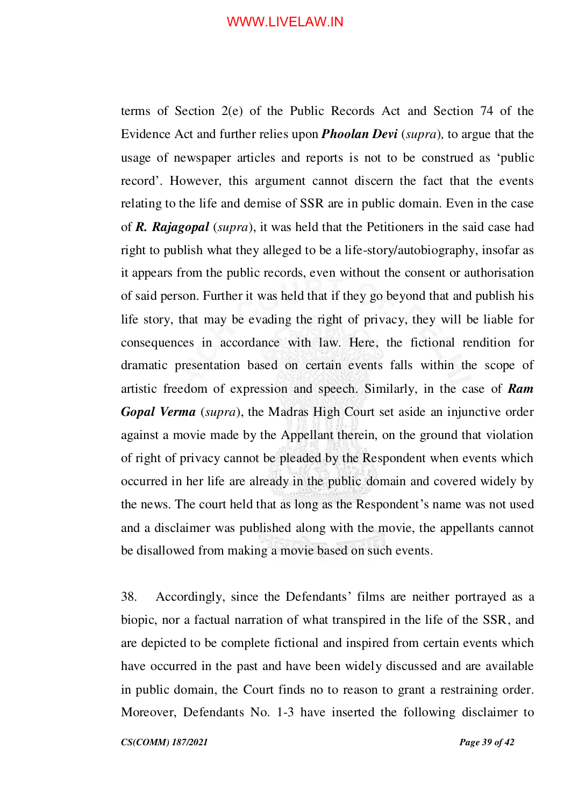terms of Section 2(e) of the Public Records Act and Section 74 of the Evidence Act and further relies upon *Phoolan Devi* (*supra*)*,* to argue that the usage of newspaper articles and reports is not to be construed as 'public record'. However, this argument cannot discern the fact that the events relating to the life and demise of SSR are in public domain. Even in the case of *R. Rajagopal* (*supra*), it was held that the Petitioners in the said case had right to publish what they alleged to be a life-story/autobiography, insofar as it appears from the public records, even without the consent or authorisation of said person. Further it was held that if they go beyond that and publish his life story, that may be evading the right of privacy, they will be liable for consequences in accordance with law. Here, the fictional rendition for dramatic presentation based on certain events falls within the scope of artistic freedom of expression and speech. Similarly, in the case of *Ram Gopal Verma* (*supra*), the Madras High Court set aside an injunctive order against a movie made by the Appellant therein, on the ground that violation of right of privacy cannot be pleaded by the Respondent when events which occurred in her life are already in the public domain and covered widely by the news. The court held that as long as the Respondent's name was not used and a disclaimer was published along with the movie, the appellants cannot be disallowed from making a movie based on such events.

38. Accordingly, since the Defendants' films are neither portrayed as a biopic, nor a factual narration of what transpired in the life of the SSR, and are depicted to be complete fictional and inspired from certain events which have occurred in the past and have been widely discussed and are available in public domain, the Court finds no to reason to grant a restraining order. Moreover, Defendants No. 1-3 have inserted the following disclaimer to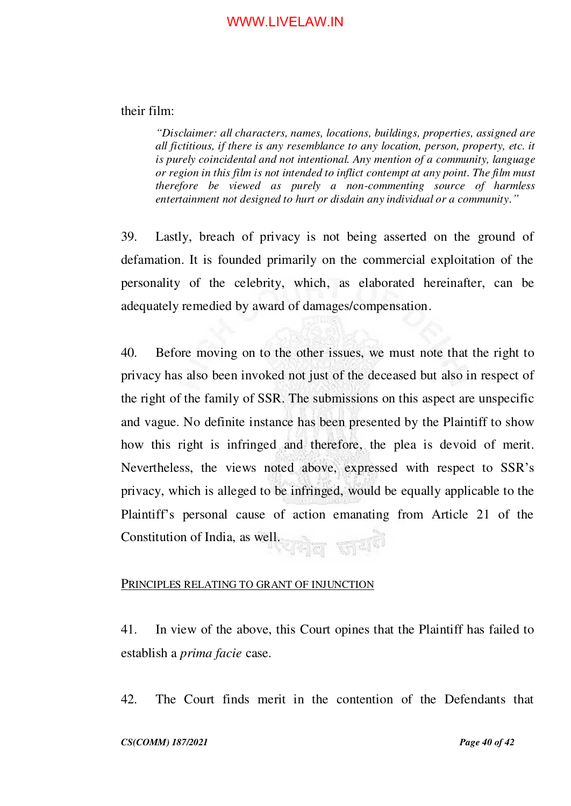#### their film:

*"Disclaimer: all characters, names, locations, buildings, properties, assigned are all fictitious, if there is any resemblance to any location, person, property, etc. it is purely coincidental and not intentional. Any mention of a community, language or region in this film is not intended to inflict contempt at any point. The film must therefore be viewed as purely a non-commenting source of harmless entertainment not designed to hurt or disdain any individual or a community."*

39. Lastly, breach of privacy is not being asserted on the ground of defamation. It is founded primarily on the commercial exploitation of the personality of the celebrity, which, as elaborated hereinafter, can be adequately remedied by award of damages/compensation.

40. Before moving on to the other issues, we must note that the right to privacy has also been invoked not just of the deceased but also in respect of the right of the family of SSR. The submissions on this aspect are unspecific and vague. No definite instance has been presented by the Plaintiff to show how this right is infringed and therefore, the plea is devoid of merit. Nevertheless, the views noted above, expressed with respect to SSR's privacy, which is alleged to be infringed, would be equally applicable to the Plaintiff's personal cause of action emanating from Article 21 of the Constitution of India, as well.

#### <span id="page-39-0"></span>PRINCIPLES RELATING TO GRANT OF INJUNCTION

41. In view of the above, this Court opines that the Plaintiff has failed to establish a *prima facie* case.

42. The Court finds merit in the contention of the Defendants that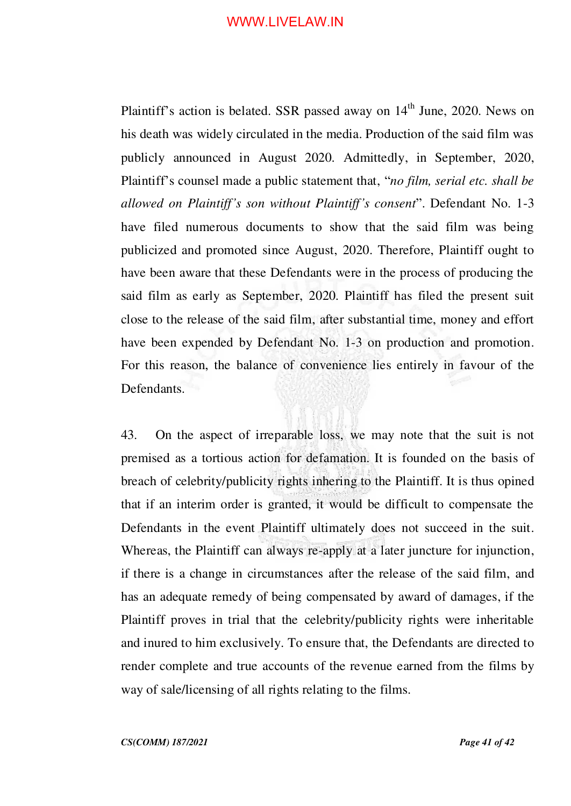Plaintiff's action is belated. SSR passed away on 14<sup>th</sup> June, 2020. News on his death was widely circulated in the media. Production of the said film was publicly announced in August 2020. Admittedly, in September, 2020, Plaintiff's counsel made a public statement that, "*no film, serial etc. shall be allowed on Plaintiff's son without Plaintiff's consent*". Defendant No. 1-3 have filed numerous documents to show that the said film was being publicized and promoted since August, 2020. Therefore, Plaintiff ought to have been aware that these Defendants were in the process of producing the said film as early as September, 2020. Plaintiff has filed the present suit close to the release of the said film, after substantial time, money and effort have been expended by Defendant No. 1-3 on production and promotion. For this reason, the balance of convenience lies entirely in favour of the Defendants.

43. On the aspect of irreparable loss, we may note that the suit is not premised as a tortious action for defamation. It is founded on the basis of breach of celebrity/publicity rights inhering to the Plaintiff. It is thus opined that if an interim order is granted, it would be difficult to compensate the Defendants in the event Plaintiff ultimately does not succeed in the suit. Whereas, the Plaintiff can always re-apply at a later juncture for injunction, if there is a change in circumstances after the release of the said film, and has an adequate remedy of being compensated by award of damages, if the Plaintiff proves in trial that the celebrity/publicity rights were inheritable and inured to him exclusively. To ensure that, the Defendants are directed to render complete and true accounts of the revenue earned from the films by way of sale/licensing of all rights relating to the films.